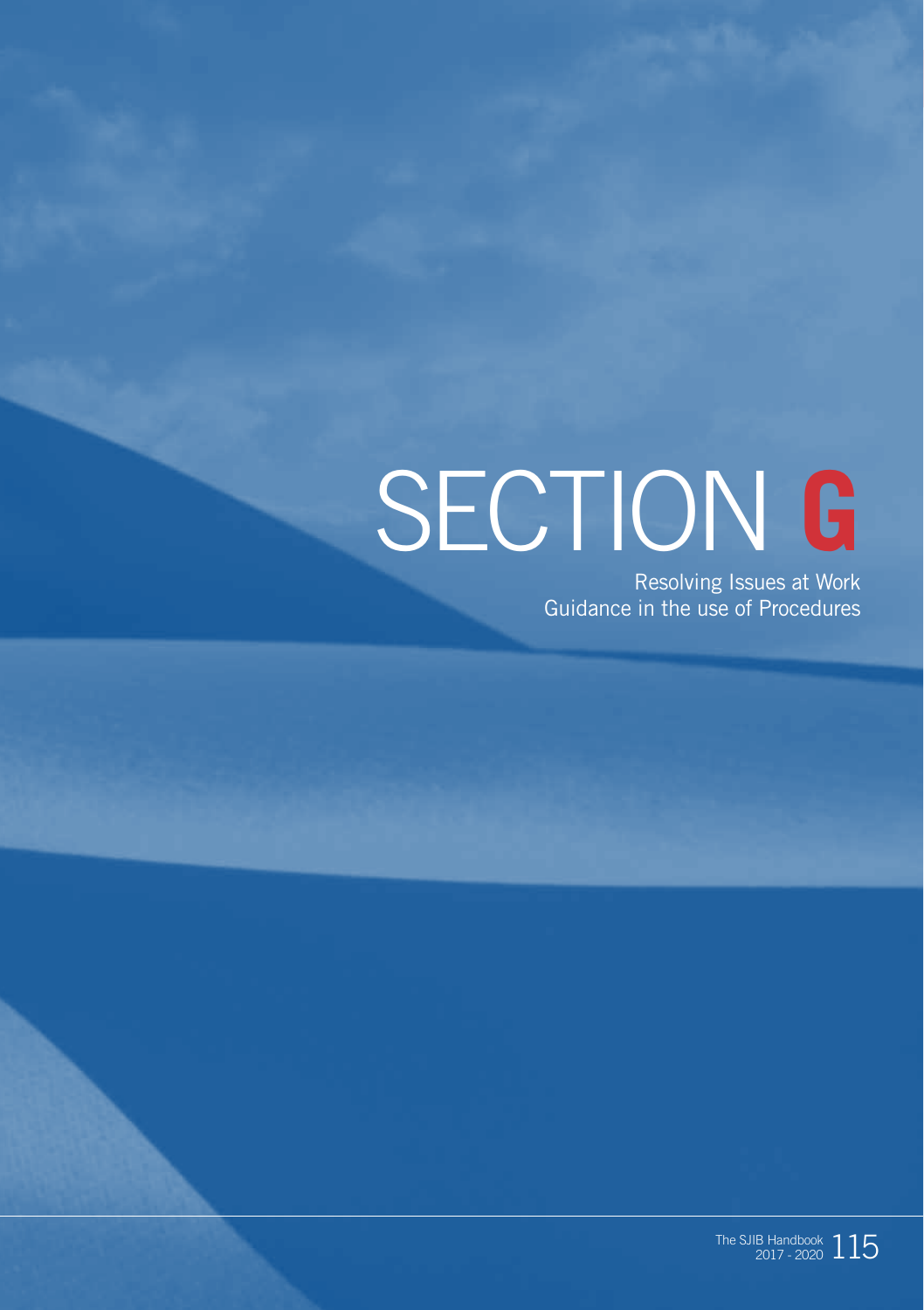# SECTION **G**

Resolving Issues at Work Guidance in the use of Procedures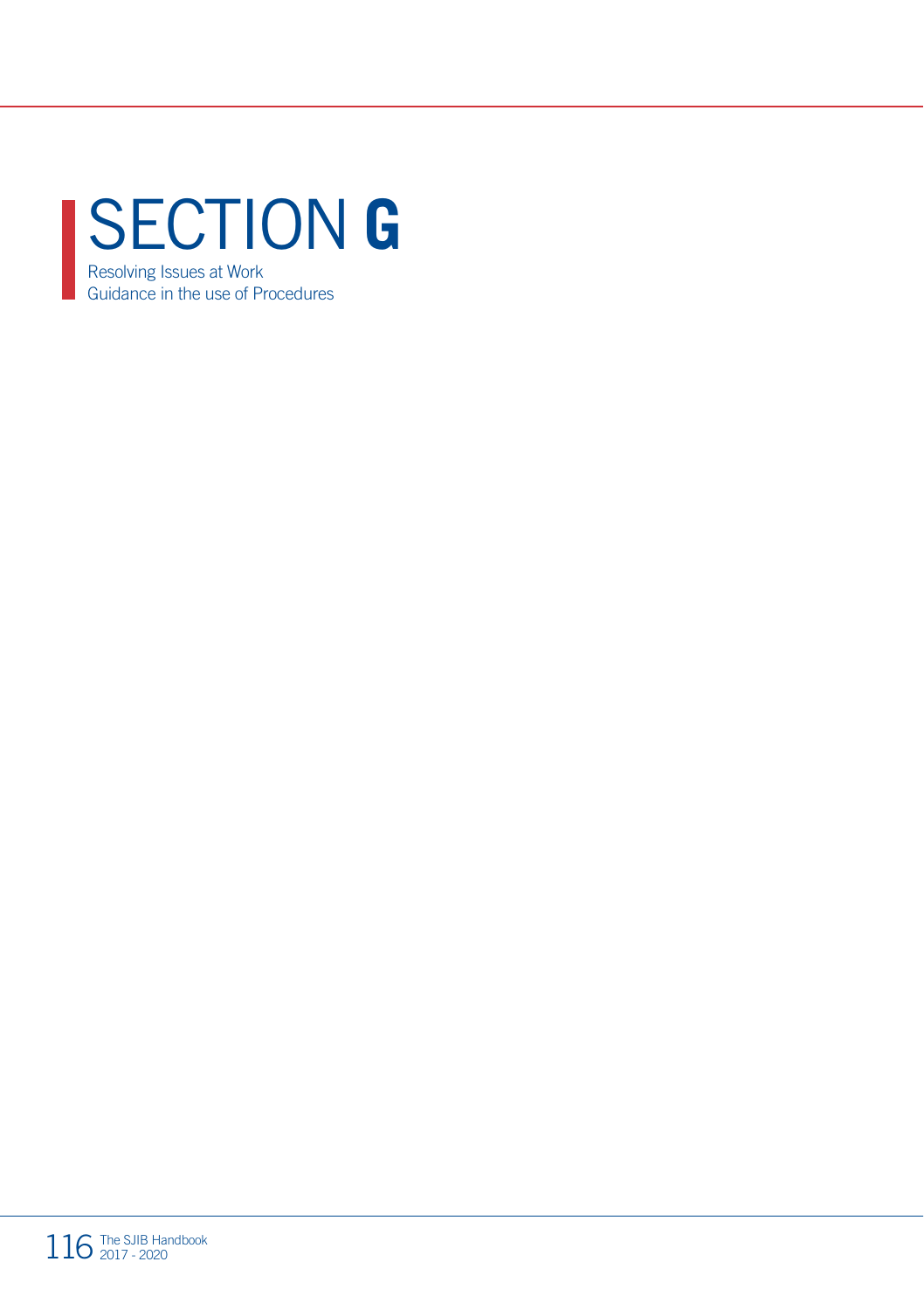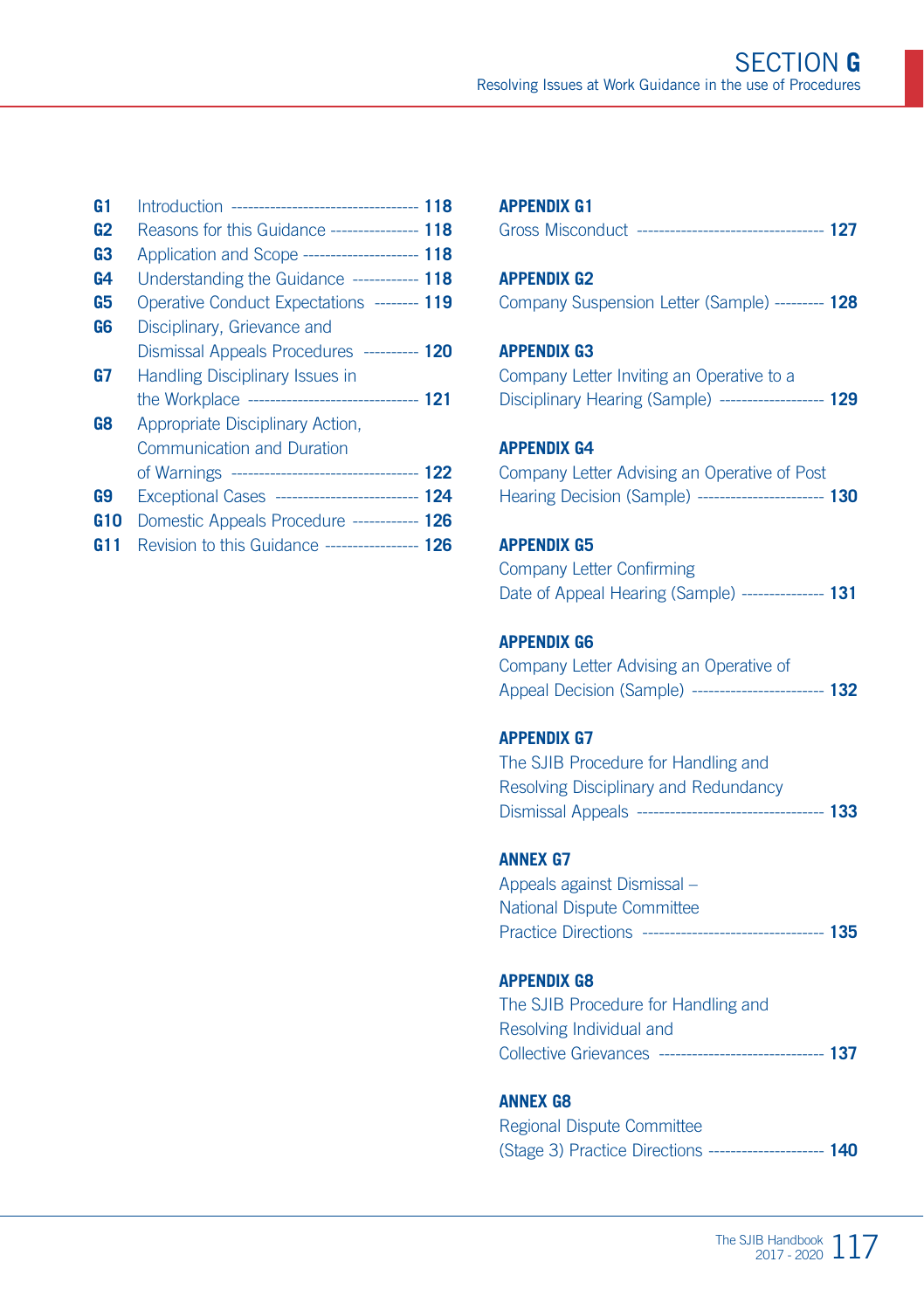| G1             | ------------------------------------ 118<br>Introduction |  |
|----------------|----------------------------------------------------------|--|
| G <sub>2</sub> | Reasons for this Guidance ---------------- 118           |  |
| G3             | Application and Scope ---------------------- 118         |  |
| G4             | Understanding the Guidance ------------ 118              |  |
| G5             | Operative Conduct Expectations -------- 119              |  |
| G6             | Disciplinary, Grievance and                              |  |
|                | Dismissal Appeals Procedures ---------- 120              |  |
| G7             | <b>Handling Disciplinary Issues in</b>                   |  |
|                | the Workplace -------------------------------- 121       |  |
| G8             | Appropriate Disciplinary Action,                         |  |
|                | <b>Communication and Duration</b>                        |  |
|                | of Warnings ----------------------------------- 122      |  |
| G9             | Exceptional Cases -------------------------- 124         |  |
| G10            | Domestic Appeals Procedure ------------ 126              |  |
| G11            | Revision to this Guidance ----------------- 126          |  |
|                |                                                          |  |

| <b>APPENDIX G1</b>                                                                                                          |
|-----------------------------------------------------------------------------------------------------------------------------|
| <b>APPENDIX G2</b><br>Company Suspension Letter (Sample) --------- 128                                                      |
| <b>APPENDIX G3</b><br>Company Letter Inviting an Operative to a<br>Disciplinary Hearing (Sample) ------------------- 129    |
| <b>APPENDIX G4</b><br>Company Letter Advising an Operative of Post<br>Hearing Decision (Sample) ----------------------- 130 |

#### **APPENDIX G5**

| Company Letter Confirming                            |  |
|------------------------------------------------------|--|
| Date of Appeal Hearing (Sample) ---------------- 131 |  |

#### **APPENDIX G6**

Company Letter Advising an Operative of Appeal Decision (Sample) ------------------------ **132**

#### **APPENDIX G7**

The SJIB Procedure for Handling and Resolving Disciplinary and Redundancy Dismissal Appeals ---------------------------------- **133**

#### **ANNEX G7**

Appeals against Dismissal – National Dispute Committee Practice Directions --------------------------------- **135**

#### **APPENDIX G8**

The SJIB Procedure for Handling and Resolving Individual and Collective Grievances ------------------------------ **137**

#### **ANNEX G8**

| Regional Dispute Committee                               |  |
|----------------------------------------------------------|--|
| (Stage 3) Practice Directions ---------------------- 140 |  |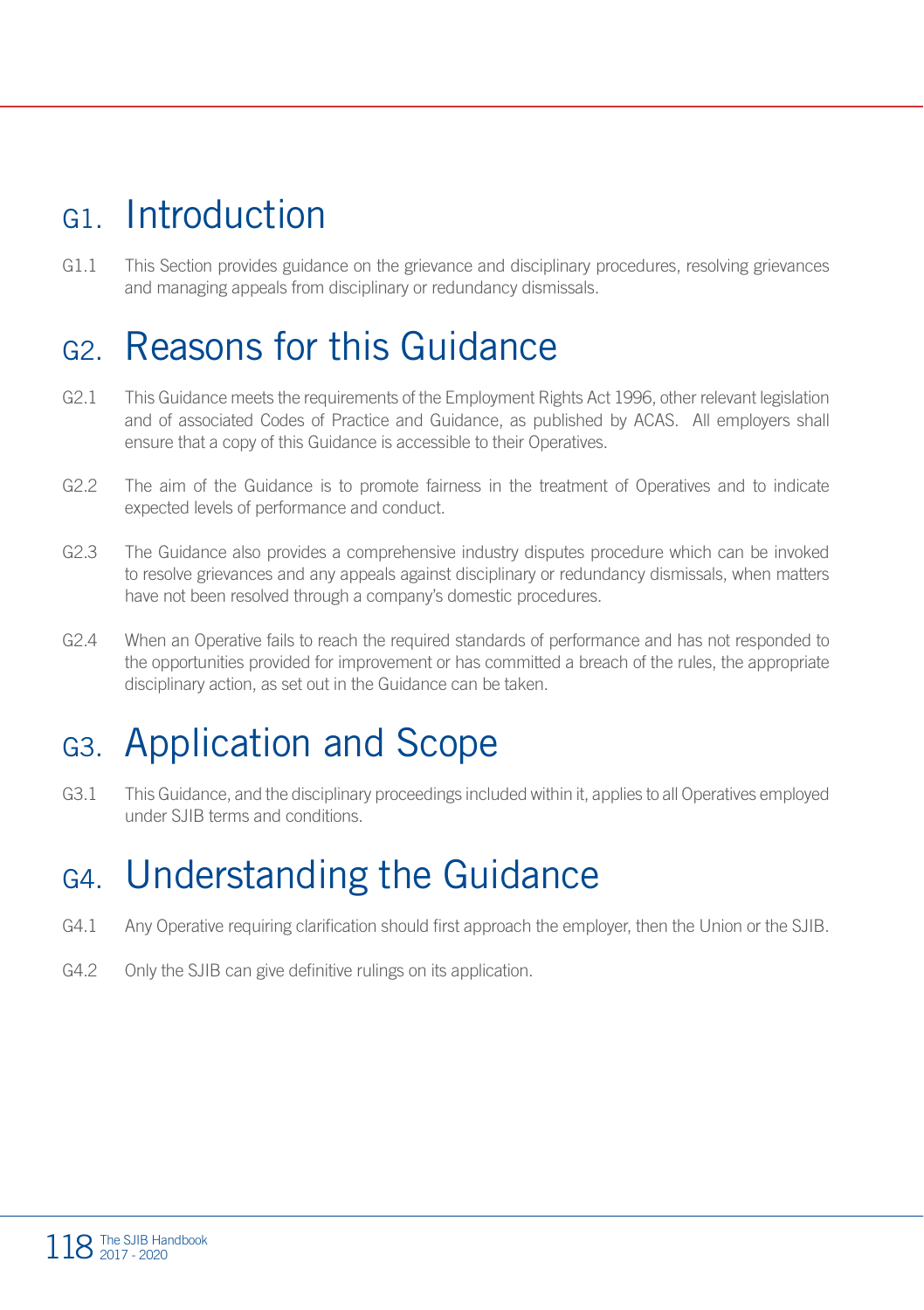### G1. Introduction

G1.1 This Section provides guidance on the grievance and disciplinary procedures, resolving grievances and managing appeals from disciplinary or redundancy dismissals.

### G2. Reasons for this Guidance

- G2.1 This Guidance meets the requirements of the Employment Rights Act 1996, other relevant legislation and of associated Codes of Practice and Guidance, as published by ACAS. All employers shall ensure that a copy of this Guidance is accessible to their Operatives.
- G2.2 The aim of the Guidance is to promote fairness in the treatment of Operatives and to indicate expected levels of performance and conduct.
- G2.3 The Guidance also provides a comprehensive industry disputes procedure which can be invoked to resolve grievances and any appeals against disciplinary or redundancy dismissals, when matters have not been resolved through a company's domestic procedures.
- G2.4 When an Operative fails to reach the required standards of performance and has not responded to the opportunities provided for improvement or has committed a breach of the rules, the appropriate disciplinary action, as set out in the Guidance can be taken.

### G3. Application and Scope

G3.1 This Guidance, and the disciplinary proceedings included within it, applies to all Operatives employed under SJIB terms and conditions.

### G4. Understanding the Guidance

- G4.1 Any Operative requiring clarification should first approach the employer, then the Union or the SJIB.
- G4.2 Only the SJIB can give definitive rulings on its application.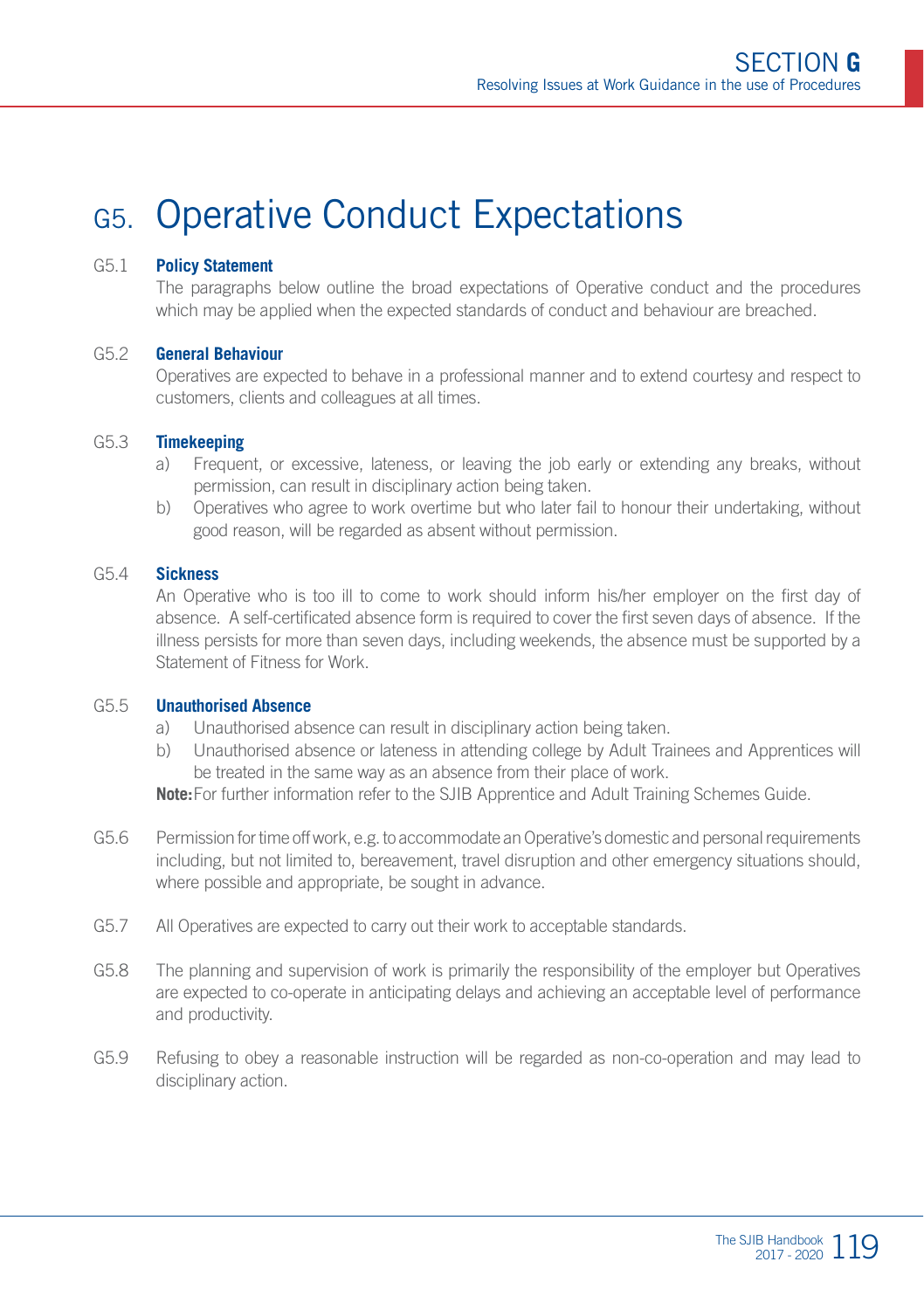### G5. Operative Conduct Expectations

#### G5.1 **Policy Statement**

The paragraphs below outline the broad expectations of Operative conduct and the procedures which may be applied when the expected standards of conduct and behaviour are breached.

#### G5.2 **General Behaviour**

Operatives are expected to behave in a professional manner and to extend courtesy and respect to customers, clients and colleagues at all times.

#### G5.3 **Timekeeping**

- a) Frequent, or excessive, lateness, or leaving the job early or extending any breaks, without permission, can result in disciplinary action being taken.
- b) Operatives who agree to work overtime but who later fail to honour their undertaking, without good reason, will be regarded as absent without permission.

#### G5.4 **Sickness**

An Operative who is too ill to come to work should inform his/her employer on the first day of absence. A self-certificated absence form is required to cover the first seven days of absence. If the illness persists for more than seven days, including weekends, the absence must be supported by a Statement of Fitness for Work.

#### G5.5 **Unauthorised Absence**

- a) Unauthorised absence can result in disciplinary action being taken.
- b) Unauthorised absence or lateness in attending college by Adult Trainees and Apprentices will be treated in the same way as an absence from their place of work.

**Note:**For further information refer to the SJIB Apprentice and Adult Training Schemes Guide.

- G5.6 Permission for time off work, e.g. to accommodate an Operative's domestic and personal requirements including, but not limited to, bereavement, travel disruption and other emergency situations should, where possible and appropriate, be sought in advance.
- G5.7 All Operatives are expected to carry out their work to acceptable standards.
- G5.8 The planning and supervision of work is primarily the responsibility of the employer but Operatives are expected to co-operate in anticipating delays and achieving an acceptable level of performance and productivity.
- G5.9 Refusing to obey a reasonable instruction will be regarded as non-co-operation and may lead to disciplinary action.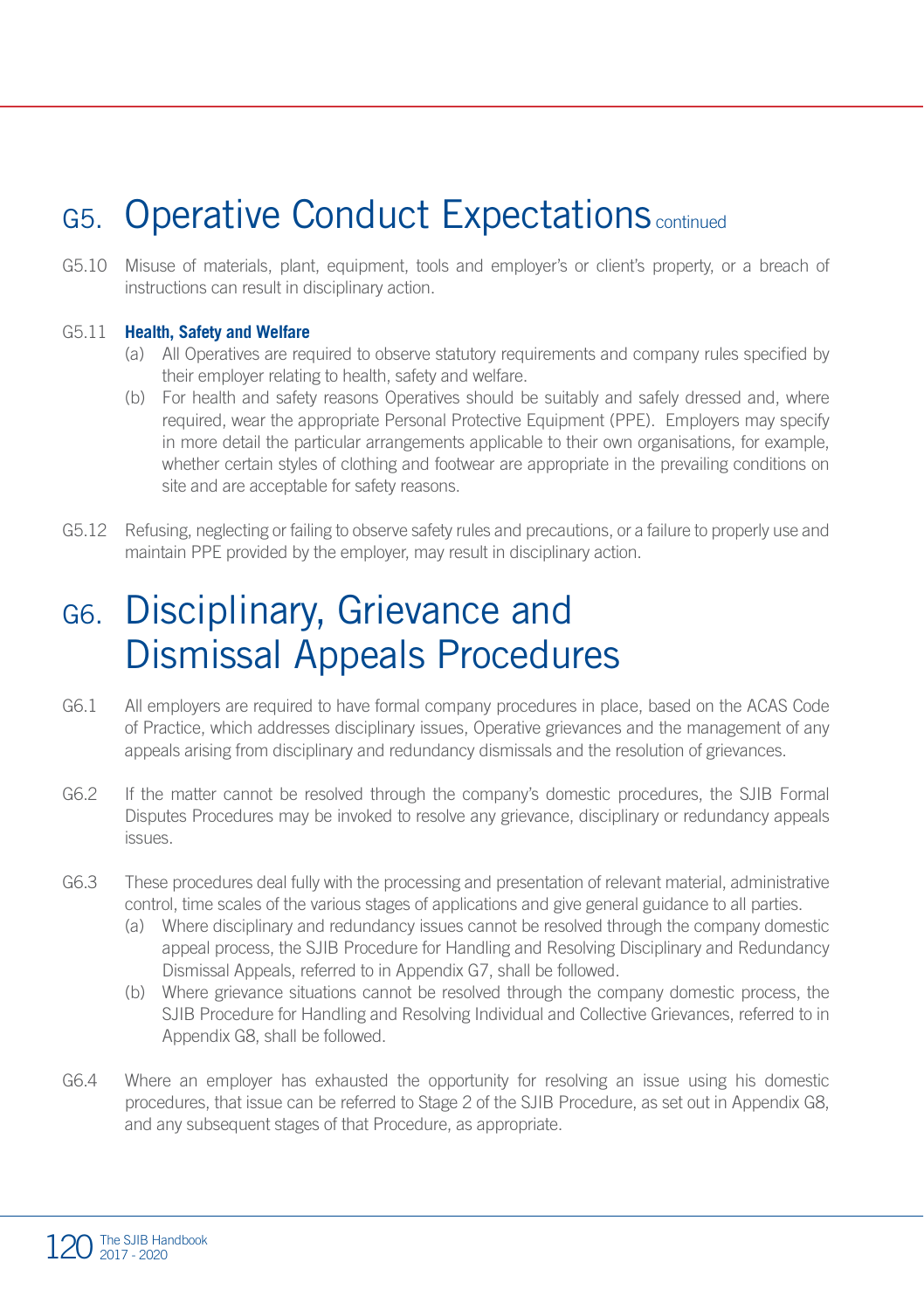### G5. Operative Conduct Expectations continued

G5.10 Misuse of materials, plant, equipment, tools and employer's or client's property, or a breach of instructions can result in disciplinary action.

#### G5.11 **Health, Safety and Welfare**

- (a) All Operatives are required to observe statutory requirements and company rules specified by their employer relating to health, safety and welfare.
- (b) For health and safety reasons Operatives should be suitably and safely dressed and, where required, wear the appropriate Personal Protective Equipment (PPE). Employers may specify in more detail the particular arrangements applicable to their own organisations, for example, whether certain styles of clothing and footwear are appropriate in the prevailing conditions on site and are acceptable for safety reasons.
- G5.12 Refusing, neglecting or failing to observe safety rules and precautions, or a failure to properly use and maintain PPE provided by the employer, may result in disciplinary action.

### G6. Disciplinary, Grievance and Dismissal Appeals Procedures

- G6.1 All employers are required to have formal company procedures in place, based on the ACAS Code of Practice, which addresses disciplinary issues, Operative grievances and the management of any appeals arising from disciplinary and redundancy dismissals and the resolution of grievances.
- G6.2 If the matter cannot be resolved through the company's domestic procedures, the SJIB Formal Disputes Procedures may be invoked to resolve any grievance, disciplinary or redundancy appeals issues.
- G6.3 These procedures deal fully with the processing and presentation of relevant material, administrative control, time scales of the various stages of applications and give general guidance to all parties.
	- (a) Where disciplinary and redundancy issues cannot be resolved through the company domestic appeal process, the SJIB Procedure for Handling and Resolving Disciplinary and Redundancy Dismissal Appeals, referred to in Appendix G7, shall be followed.
	- (b) Where grievance situations cannot be resolved through the company domestic process, the SJIB Procedure for Handling and Resolving Individual and Collective Grievances, referred to in Appendix G8, shall be followed.
- G6.4 Where an employer has exhausted the opportunity for resolving an issue using his domestic procedures, that issue can be referred to Stage 2 of the SJIB Procedure, as set out in Appendix G8, and any subsequent stages of that Procedure, as appropriate.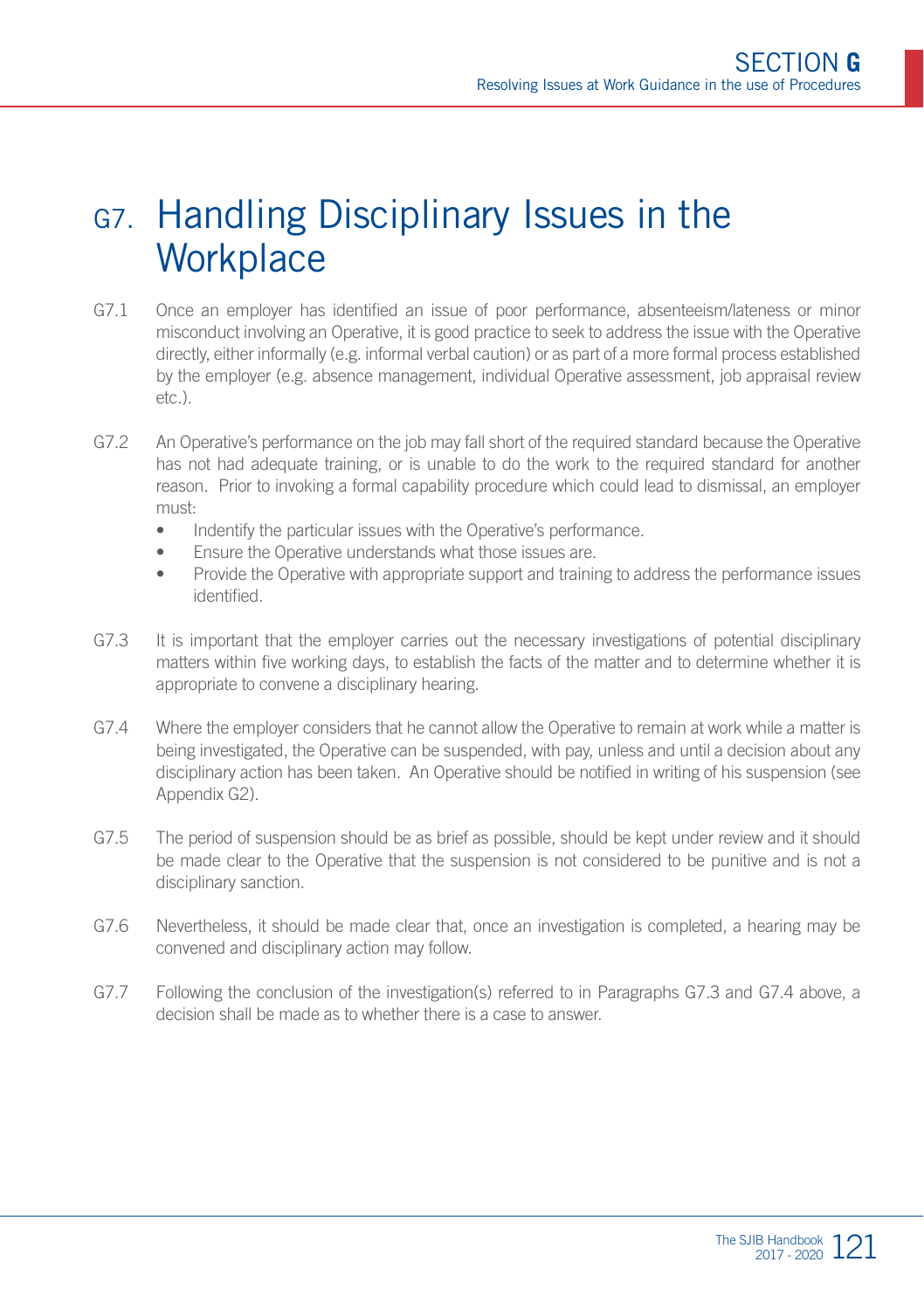### G7. Handling Disciplinary Issues in the **Workplace**

- G7.1 Once an employer has identified an issue of poor performance, absenteeism/lateness or minor misconduct involving an Operative, it is good practice to seek to address the issue with the Operative directly, either informally (e.g. informal verbal caution) or as part of a more formal process established by the employer (e.g. absence management, individual Operative assessment, job appraisal review  $eta^{\dagger}$
- G7.2 An Operative's performance on the job may fall short of the required standard because the Operative has not had adequate training, or is unable to do the work to the required standard for another reason. Prior to invoking a formal capability procedure which could lead to dismissal, an employer must:
	- Indentify the particular issues with the Operative's performance.
	- Ensure the Operative understands what those issues are.
	- Provide the Operative with appropriate support and training to address the performance issues identified.
- G7.3 It is important that the employer carries out the necessary investigations of potential disciplinary matters within five working days, to establish the facts of the matter and to determine whether it is appropriate to convene a disciplinary hearing.
- G7.4 Where the employer considers that he cannot allow the Operative to remain at work while a matter is being investigated, the Operative can be suspended, with pay, unless and until a decision about any disciplinary action has been taken. An Operative should be notified in writing of his suspension (see Appendix G2).
- G7.5 The period of suspension should be as brief as possible, should be kept under review and it should be made clear to the Operative that the suspension is not considered to be punitive and is not a disciplinary sanction.
- G7.6 Nevertheless, it should be made clear that, once an investigation is completed, a hearing may be convened and disciplinary action may follow.
- G7.7 Following the conclusion of the investigation(s) referred to in Paragraphs G7.3 and G7.4 above, a decision shall be made as to whether there is a case to answer.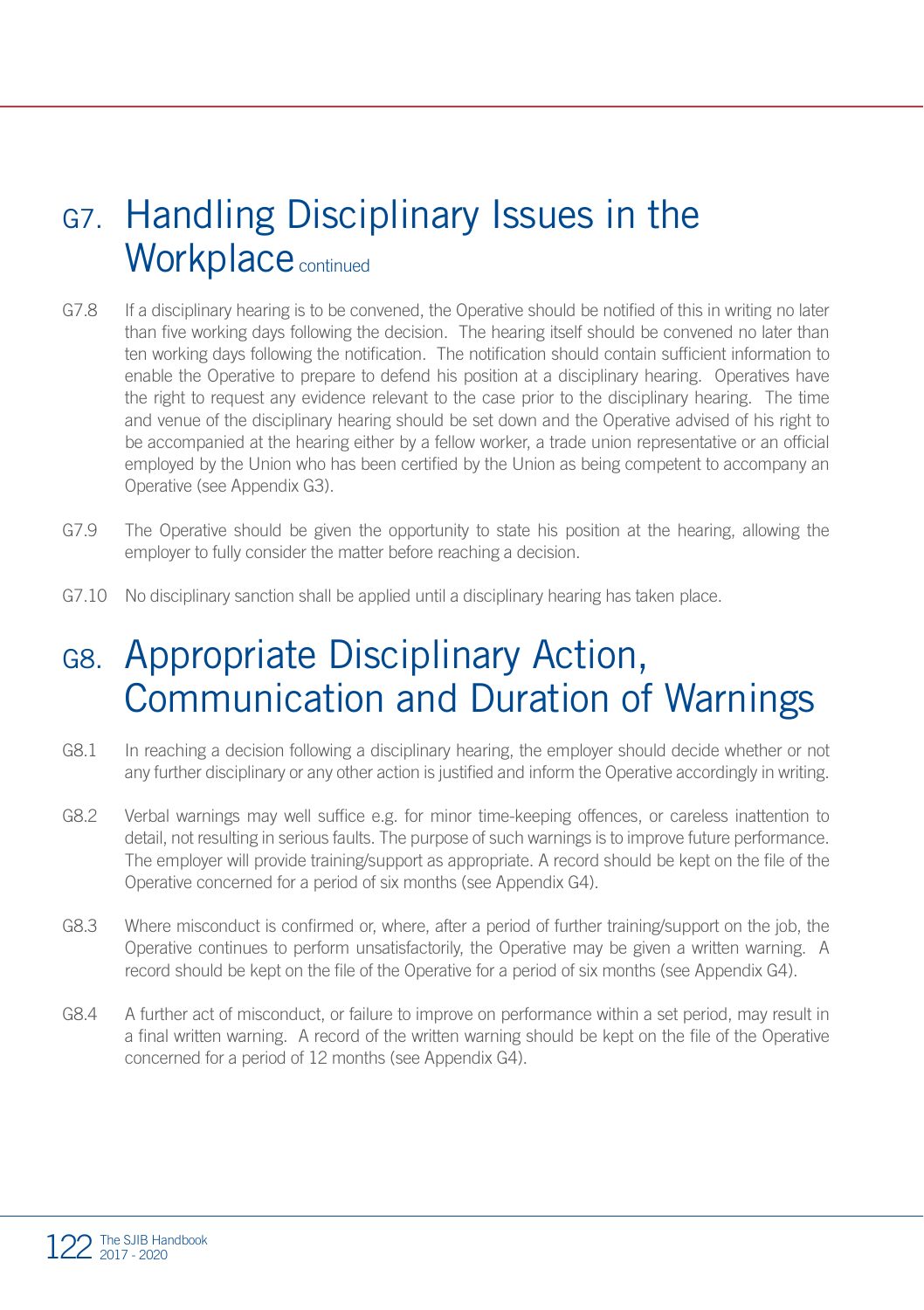### G7. Handling Disciplinary Issues in the Workplace continued

- G7.8 If a disciplinary hearing is to be convened, the Operative should be notified of this in writing no later than five working days following the decision. The hearing itself should be convened no later than ten working days following the notification. The notification should contain sufficient information to enable the Operative to prepare to defend his position at a disciplinary hearing. Operatives have the right to request any evidence relevant to the case prior to the disciplinary hearing. The time and venue of the disciplinary hearing should be set down and the Operative advised of his right to be accompanied at the hearing either by a fellow worker, a trade union representative or an official employed by the Union who has been certified by the Union as being competent to accompany an Operative (see Appendix G3).
- G7.9 The Operative should be given the opportunity to state his position at the hearing, allowing the employer to fully consider the matter before reaching a decision.
- G7.10 No disciplinary sanction shall be applied until a disciplinary hearing has taken place.

### G8. Appropriate Disciplinary Action, Communication and Duration of Warnings

- G8.1 In reaching a decision following a disciplinary hearing, the employer should decide whether or not any further disciplinary or any other action is justified and inform the Operative accordingly in writing.
- G8.2 Verbal warnings may well suffice e.g. for minor time-keeping offences, or careless inattention to detail, not resulting in serious faults. The purpose of such warnings is to improve future performance. The employer will provide training/support as appropriate. A record should be kept on the file of the Operative concerned for a period of six months (see Appendix G4).
- G8.3 Where misconduct is confirmed or, where, after a period of further training/support on the job, the Operative continues to perform unsatisfactorily, the Operative may be given a written warning. A record should be kept on the file of the Operative for a period of six months (see Appendix G4).
- G8.4 A further act of misconduct, or failure to improve on performance within a set period, may result in a final written warning. A record of the written warning should be kept on the file of the Operative concerned for a period of 12 months (see Appendix G4).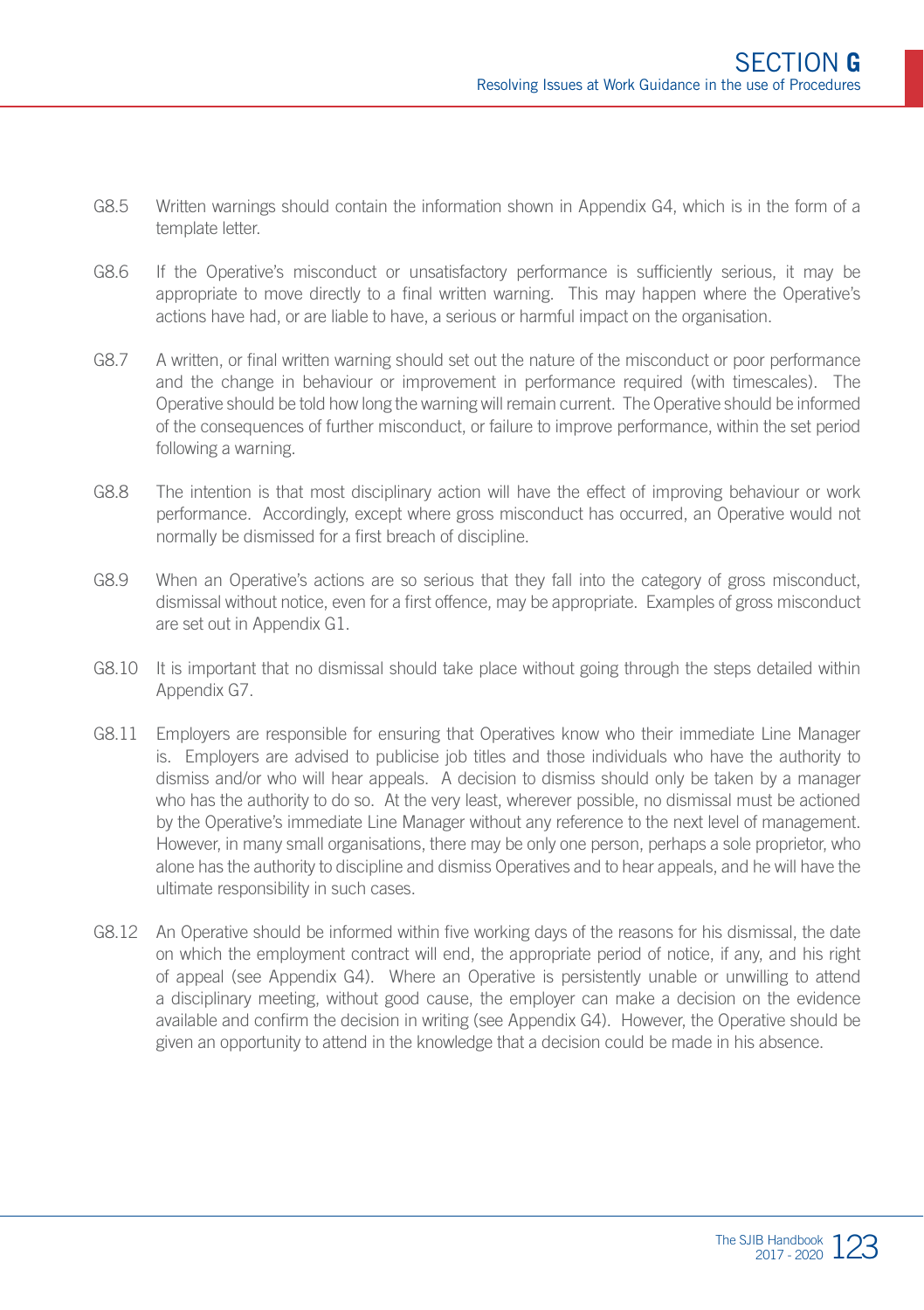- G8.5 Written warnings should contain the information shown in Appendix G4, which is in the form of a template letter.
- G8.6 If the Operative's misconduct or unsatisfactory performance is sufficiently serious, it may be appropriate to move directly to a final written warning. This may happen where the Operative's actions have had, or are liable to have, a serious or harmful impact on the organisation.
- G8.7 A written, or final written warning should set out the nature of the misconduct or poor performance and the change in behaviour or improvement in performance required (with timescales). The Operative should be told how long the warning will remain current. The Operative should be informed of the consequences of further misconduct, or failure to improve performance, within the set period following a warning.
- G8.8 The intention is that most disciplinary action will have the effect of improving behaviour or work performance. Accordingly, except where gross misconduct has occurred, an Operative would not normally be dismissed for a first breach of discipline.
- G8.9 When an Operative's actions are so serious that they fall into the category of gross misconduct dismissal without notice, even for a first offence, may be appropriate. Examples of gross misconduct are set out in Appendix G1.
- G8.10 It is important that no dismissal should take place without going through the steps detailed within Appendix G7.
- G8.11 Employers are responsible for ensuring that Operatives know who their immediate Line Manager is. Employers are advised to publicise job titles and those individuals who have the authority to dismiss and/or who will hear appeals. A decision to dismiss should only be taken by a manager who has the authority to do so. At the very least, wherever possible, no dismissal must be actioned by the Operative's immediate Line Manager without any reference to the next level of management. However, in many small organisations, there may be only one person, perhaps a sole proprietor, who alone has the authority to discipline and dismiss Operatives and to hear appeals, and he will have the ultimate responsibility in such cases.
- G8.12 An Operative should be informed within five working days of the reasons for his dismissal, the date on which the employment contract will end, the appropriate period of notice, if any, and his right of appeal (see Appendix G4). Where an Operative is persistently unable or unwilling to attend a disciplinary meeting, without good cause, the employer can make a decision on the evidence available and confirm the decision in writing (see Appendix G4). However, the Operative should be given an opportunity to attend in the knowledge that a decision could be made in his absence.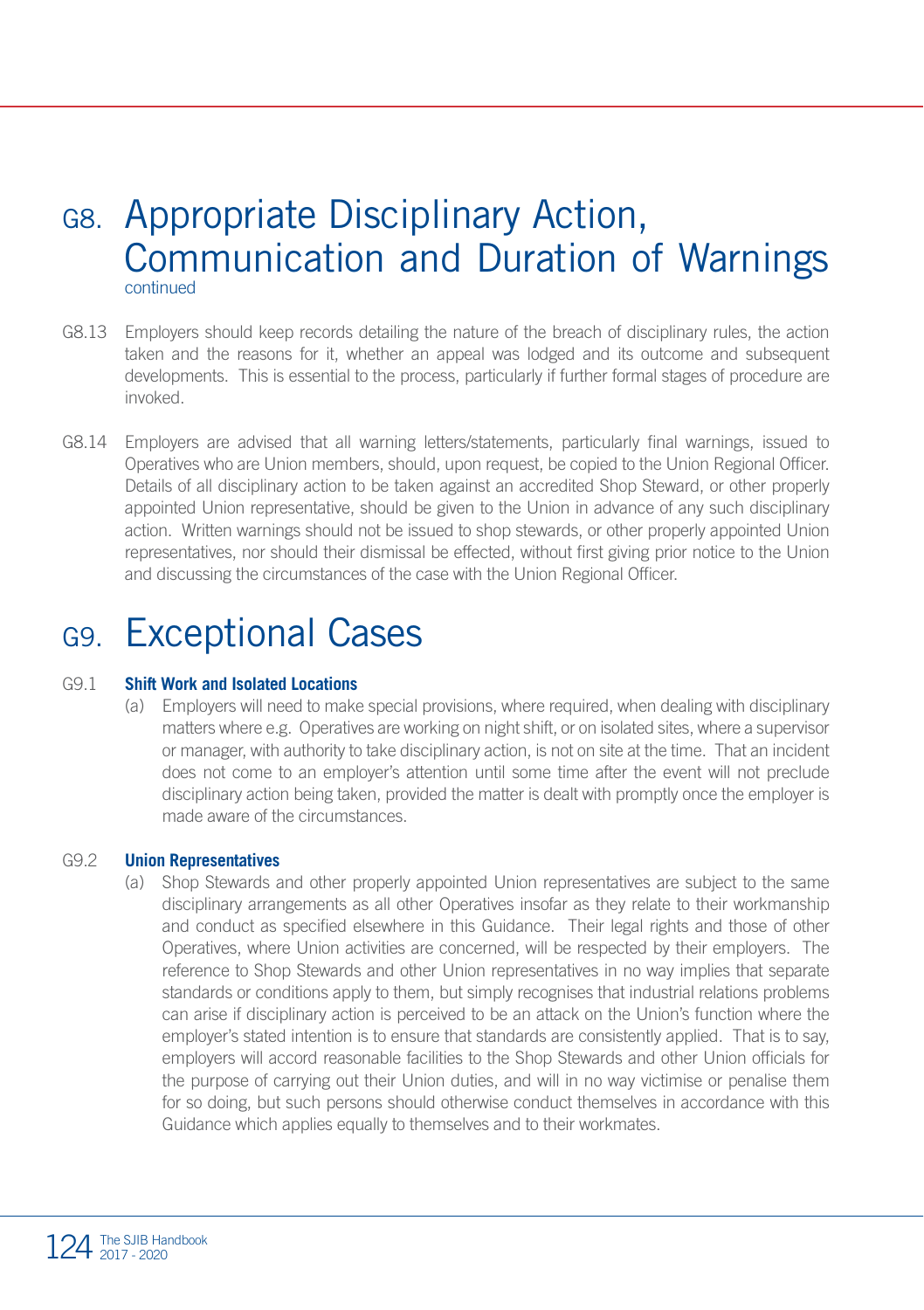### G8. Appropriate Disciplinary Action, Communication and Duration of Warnings continued

- G8.13 Employers should keep records detailing the nature of the breach of disciplinary rules, the action taken and the reasons for it, whether an appeal was lodged and its outcome and subsequent developments. This is essential to the process, particularly if further formal stages of procedure are invoked.
- G8.14 Employers are advised that all warning letters/statements, particularly final warnings, issued to Operatives who are Union members, should, upon request, be copied to the Union Regional Officer. Details of all disciplinary action to be taken against an accredited Shop Steward, or other properly appointed Union representative, should be given to the Union in advance of any such disciplinary action. Written warnings should not be issued to shop stewards, or other properly appointed Union representatives, nor should their dismissal be effected, without first giving prior notice to the Union and discussing the circumstances of the case with the Union Regional Officer.

### G9. Exceptional Cases

#### G9.1 **Shift Work and Isolated Locations**

(a) Employers will need to make special provisions, where required, when dealing with disciplinary matters where e.g. Operatives are working on night shift, or on isolated sites, where a supervisor or manager, with authority to take disciplinary action, is not on site at the time. That an incident does not come to an employer's attention until some time after the event will not preclude disciplinary action being taken, provided the matter is dealt with promptly once the employer is made aware of the circumstances.

#### G9.2 **Union Representatives**

(a) Shop Stewards and other properly appointed Union representatives are subject to the same disciplinary arrangements as all other Operatives insofar as they relate to their workmanship and conduct as specified elsewhere in this Guidance. Their legal rights and those of other Operatives, where Union activities are concerned, will be respected by their employers. The reference to Shop Stewards and other Union representatives in no way implies that separate standards or conditions apply to them, but simply recognises that industrial relations problems can arise if disciplinary action is perceived to be an attack on the Union's function where the employer's stated intention is to ensure that standards are consistently applied. That is to say, employers will accord reasonable facilities to the Shop Stewards and other Union officials for the purpose of carrying out their Union duties, and will in no way victimise or penalise them for so doing, but such persons should otherwise conduct themselves in accordance with this Guidance which applies equally to themselves and to their workmates.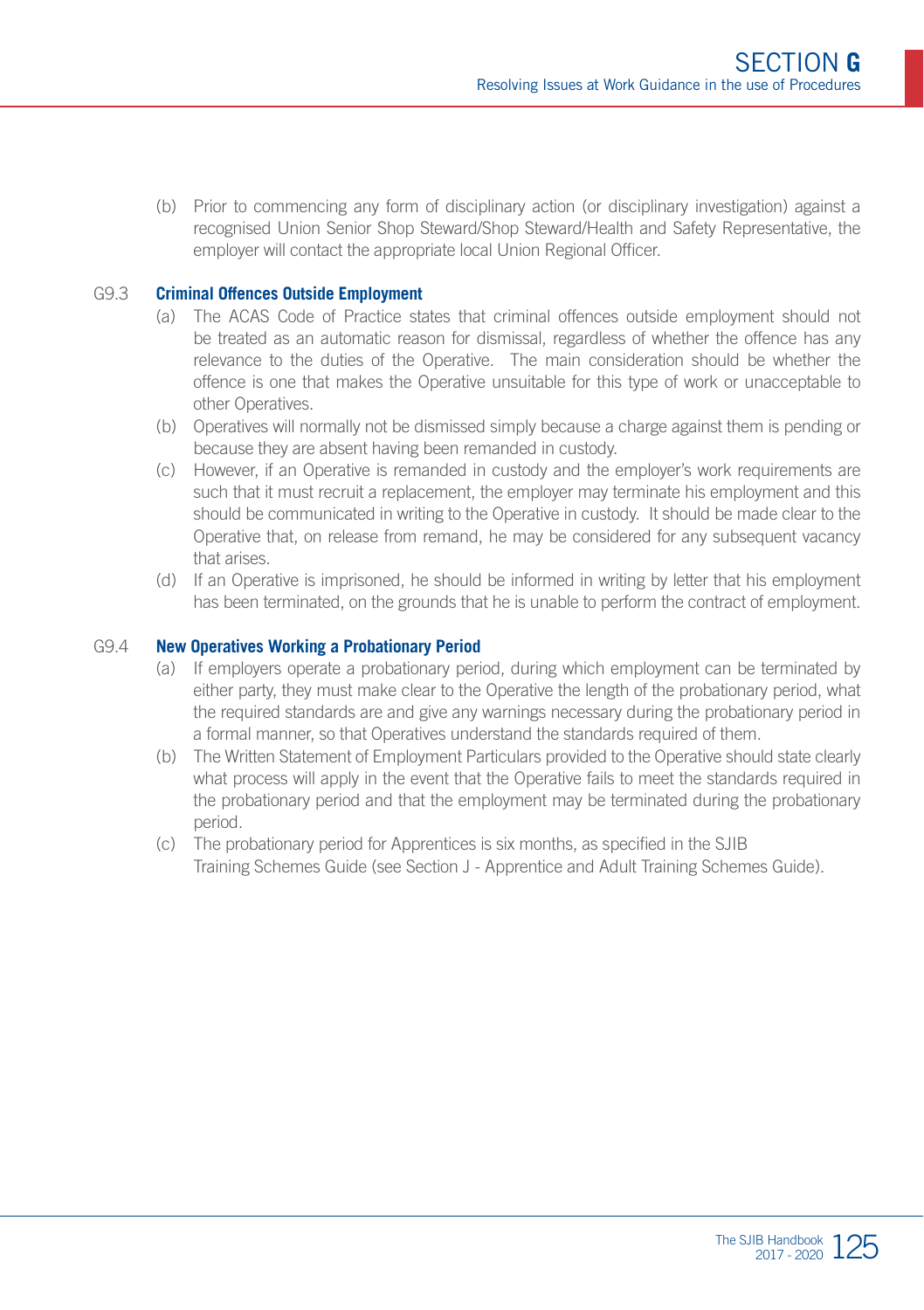(b) Prior to commencing any form of disciplinary action (or disciplinary investigation) against a recognised Union Senior Shop Steward/Shop Steward/Health and Safety Representative, the employer will contact the appropriate local Union Regional Officer.

#### G9.3 **Criminal Offences Outside Employment**

- (a) The ACAS Code of Practice states that criminal offences outside employment should not be treated as an automatic reason for dismissal, regardless of whether the offence has any relevance to the duties of the Operative. The main consideration should be whether the offence is one that makes the Operative unsuitable for this type of work or unacceptable to other Operatives.
- (b) Operatives will normally not be dismissed simply because a charge against them is pending or because they are absent having been remanded in custody.
- (c) However, if an Operative is remanded in custody and the employer's work requirements are such that it must recruit a replacement, the employer may terminate his employment and this should be communicated in writing to the Operative in custody. It should be made clear to the Operative that, on release from remand, he may be considered for any subsequent vacancy that arises.
- (d) If an Operative is imprisoned, he should be informed in writing by letter that his employment has been terminated, on the grounds that he is unable to perform the contract of employment.

#### G9.4 **New Operatives Working a Probationary Period**

- (a) If employers operate a probationary period, during which employment can be terminated by either party, they must make clear to the Operative the length of the probationary period, what the required standards are and give any warnings necessary during the probationary period in a formal manner, so that Operatives understand the standards required of them.
- (b) The Written Statement of Employment Particulars provided to the Operative should state clearly what process will apply in the event that the Operative fails to meet the standards required in the probationary period and that the employment may be terminated during the probationary period.
- (c) The probationary period for Apprentices is six months, as specified in the SJIB Training Schemes Guide (see Section J - Apprentice and Adult Training Schemes Guide).

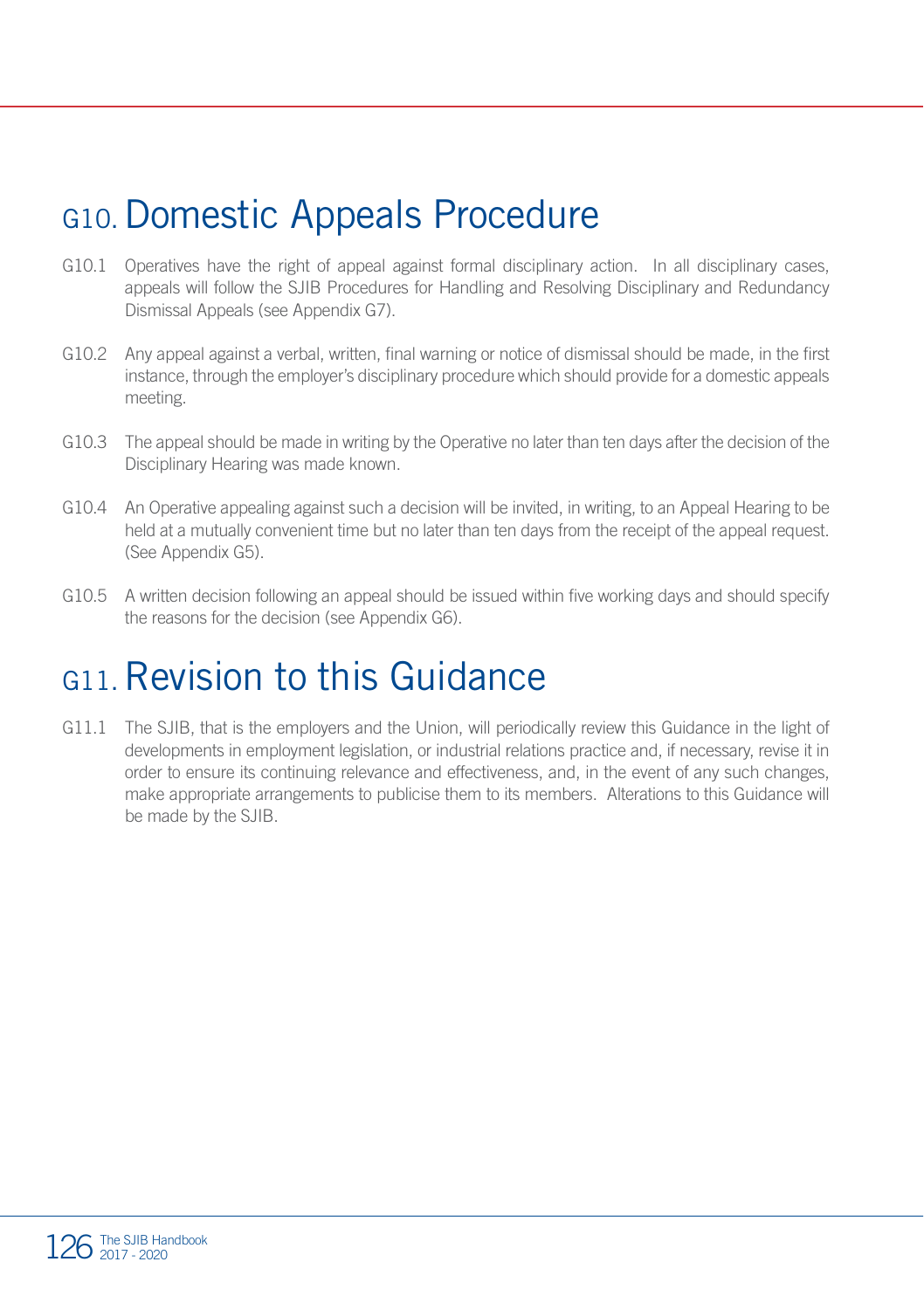### G10.Domestic Appeals Procedure

- G10.1 Operatives have the right of appeal against formal disciplinary action. In all disciplinary cases, appeals will follow the SJIB Procedures for Handling and Resolving Disciplinary and Redundancy Dismissal Appeals (see Appendix G7).
- G10.2 Any appeal against a verbal, written, final warning or notice of dismissal should be made, in the first instance, through the employer's disciplinary procedure which should provide for a domestic appeals meeting.
- G10.3 The appeal should be made in writing by the Operative no later than ten days after the decision of the Disciplinary Hearing was made known.
- G10.4 An Operative appealing against such a decision will be invited, in writing, to an Appeal Hearing to be held at a mutually convenient time but no later than ten days from the receipt of the appeal request. (See Appendix G5).
- G10.5 A written decision following an appeal should be issued within five working days and should specify the reasons for the decision (see Appendix G6).

### G<sub>11</sub> Revision to this Guidance

G11.1 The SJIB, that is the employers and the Union, will periodically review this Guidance in the light of developments in employment legislation, or industrial relations practice and, if necessary, revise it in order to ensure its continuing relevance and effectiveness, and, in the event of any such changes, make appropriate arrangements to publicise them to its members. Alterations to this Guidance will be made by the SJIB.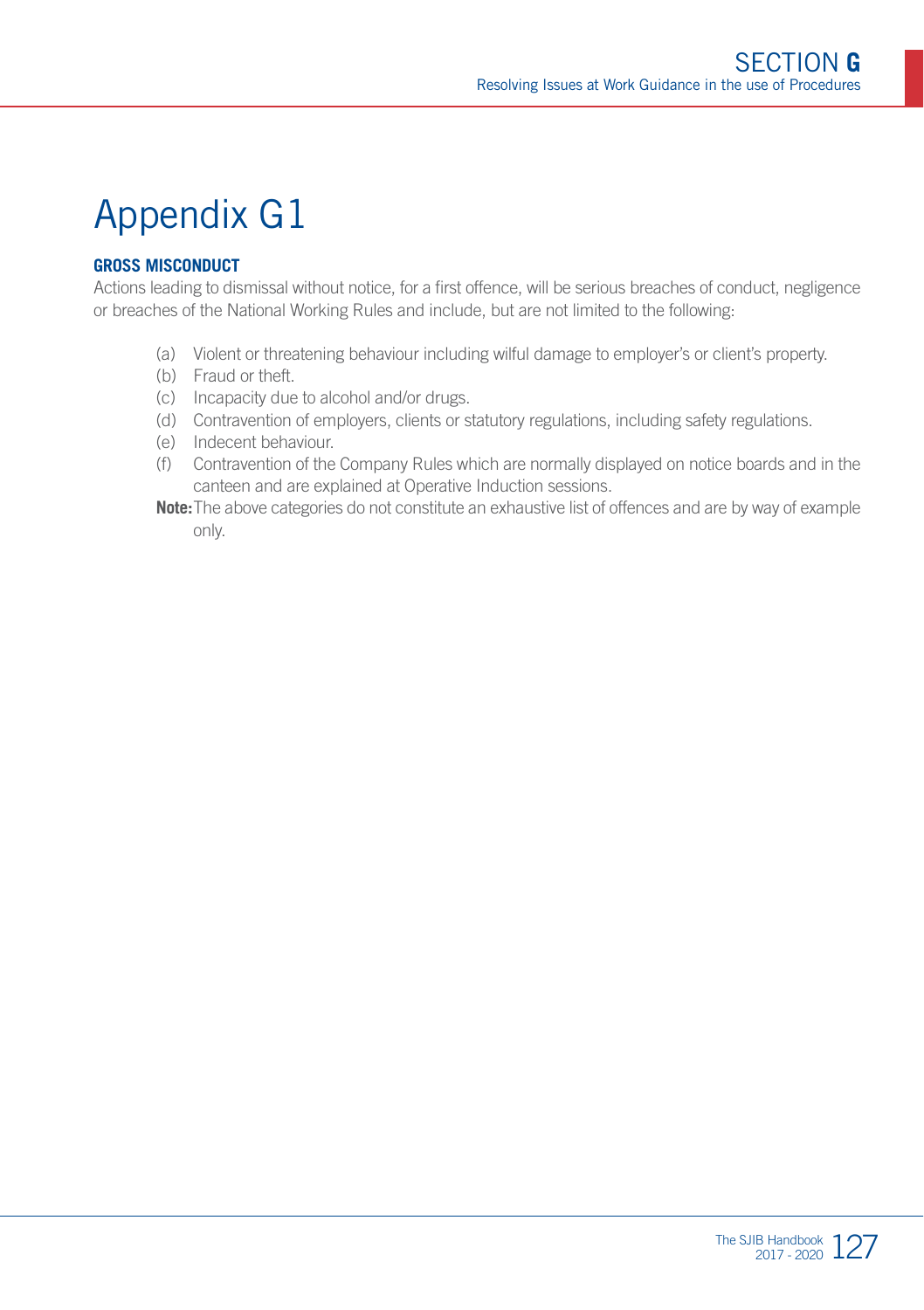#### **GROSS MISCONDUCT**

Actions leading to dismissal without notice, for a first offence, will be serious breaches of conduct, negligence or breaches of the National Working Rules and include, but are not limited to the following:

- (a) Violent or threatening behaviour including wilful damage to employer's or client's property.
- (b) Fraud or theft.
- (c) Incapacity due to alcohol and/or drugs.
- (d) Contravention of employers, clients or statutory regulations, including safety regulations.
- (e) Indecent behaviour.
- (f) Contravention of the Company Rules which are normally displayed on notice boards and in the canteen and are explained at Operative Induction sessions.
- **Note:**The above categories do not constitute an exhaustive list of offences and are by way of example only.

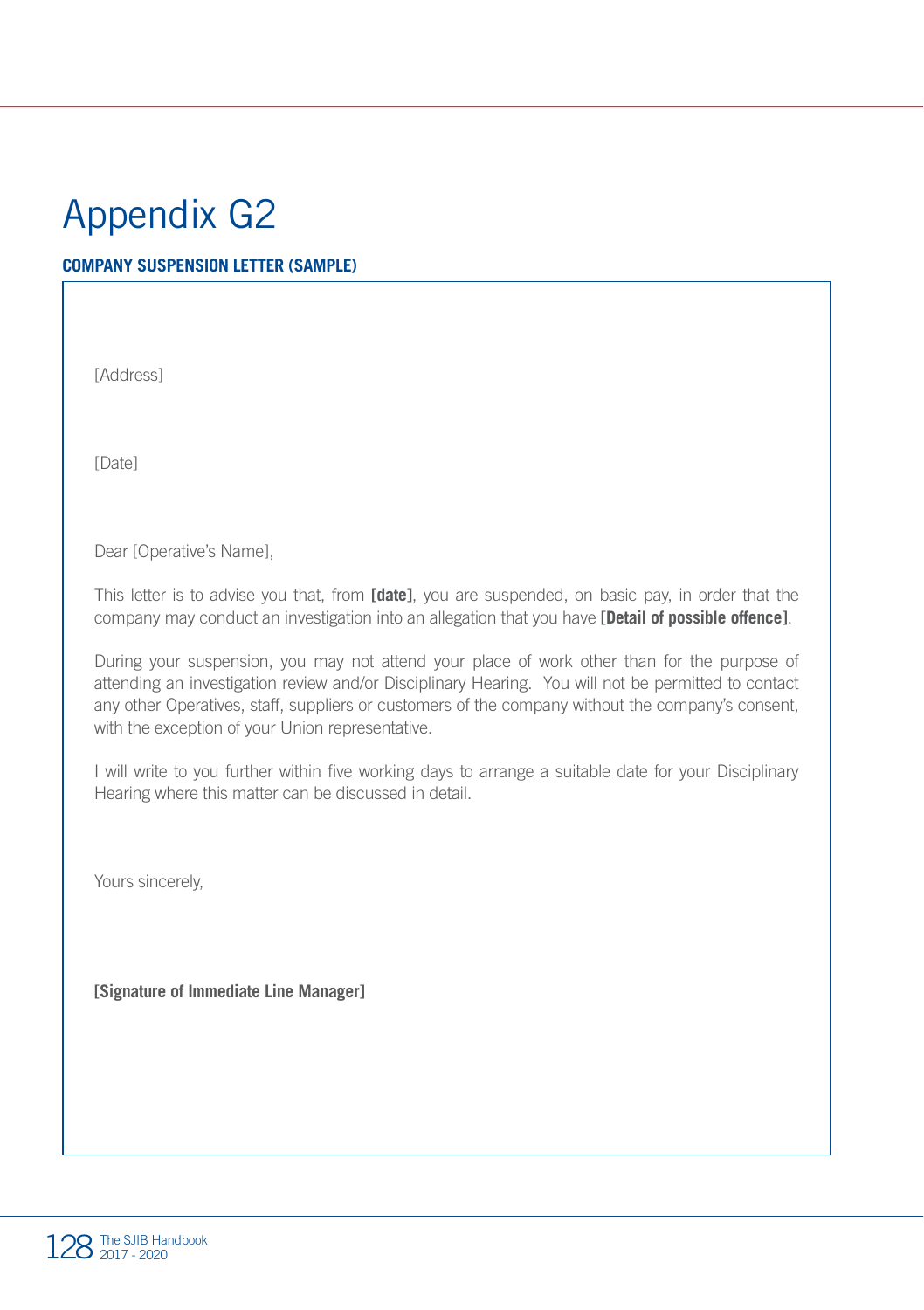#### **COMPANY SUSPENSION LETTER (SAMPLE)**

[Address]

[Date]

Dear [Operative's Name],

This letter is to advise you that, from **[date]**, you are suspended, on basic pay, in order that the company may conduct an investigation into an allegation that you have **[Detail of possible offence]**.

During your suspension, you may not attend your place of work other than for the purpose of attending an investigation review and/or Disciplinary Hearing. You will not be permitted to contact any other Operatives, staff, suppliers or customers of the company without the company's consent, with the exception of your Union representative.

I will write to you further within five working days to arrange a suitable date for your Disciplinary Hearing where this matter can be discussed in detail.

Yours sincerely,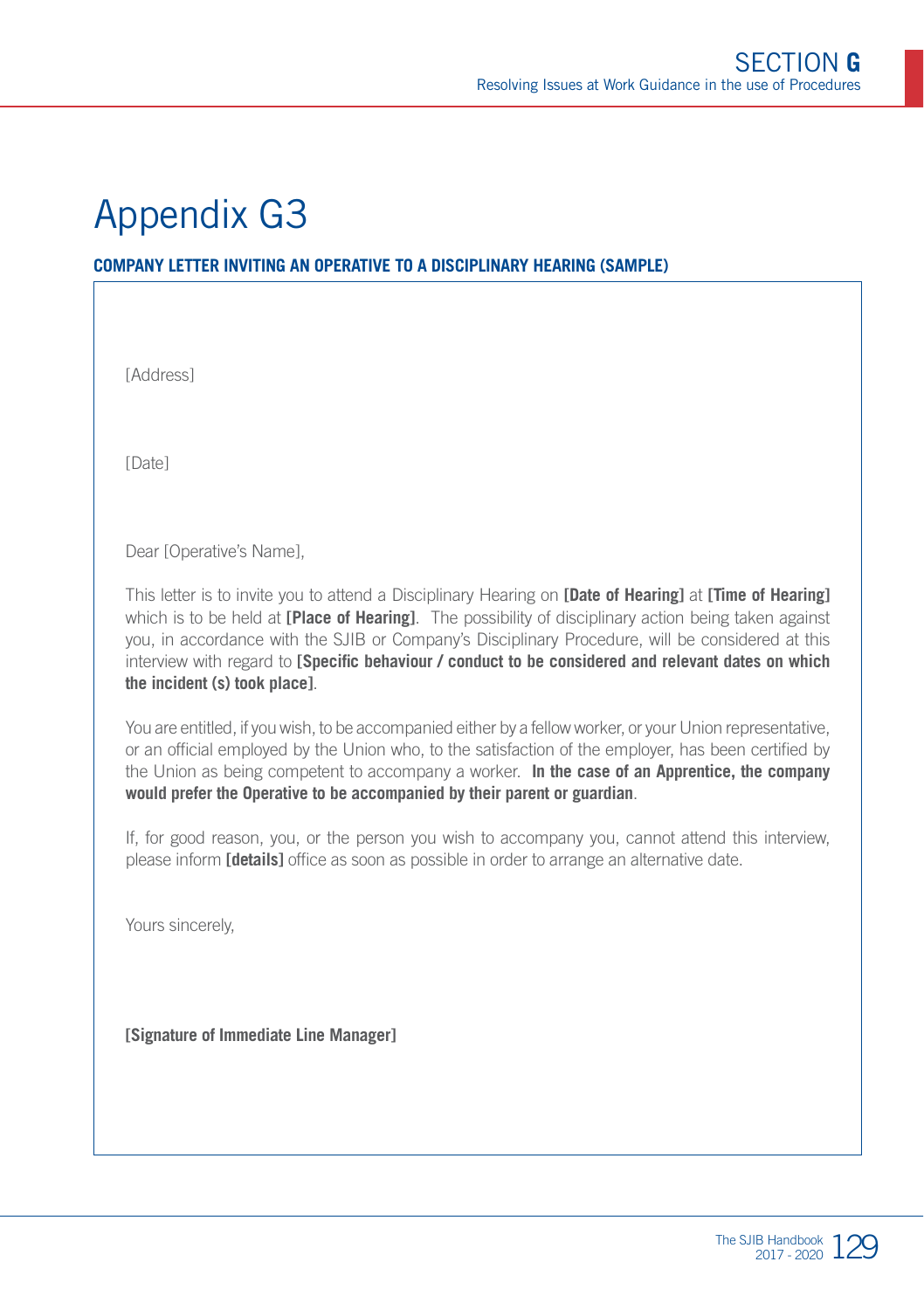#### **COMPANY LETTER INVITING AN OPERATIVE TO A DISCIPLINARY HEARING (SAMPLE)**

[Address]

[Date]

Dear [Operative's Name],

This letter is to invite you to attend a Disciplinary Hearing on **[Date of Hearing]** at **[Time of Hearing]** which is to be held at **[Place of Hearing]**. The possibility of disciplinary action being taken against you, in accordance with the SJIB or Company's Disciplinary Procedure, will be considered at this interview with regard to **[Specific behaviour / conduct to be considered and relevant dates on which the incident (s) took place]**.

You are entitled, if you wish, to be accompanied either by a fellow worker, or your Union representative, or an official employed by the Union who, to the satisfaction of the employer, has been certified by the Union as being competent to accompany a worker. **In the case of an Apprentice, the company would prefer the Operative to be accompanied by their parent or guardian**.

If, for good reason, you, or the person you wish to accompany you, cannot attend this interview, please inform **[details]** office as soon as possible in order to arrange an alternative date.

Yours sincerely,

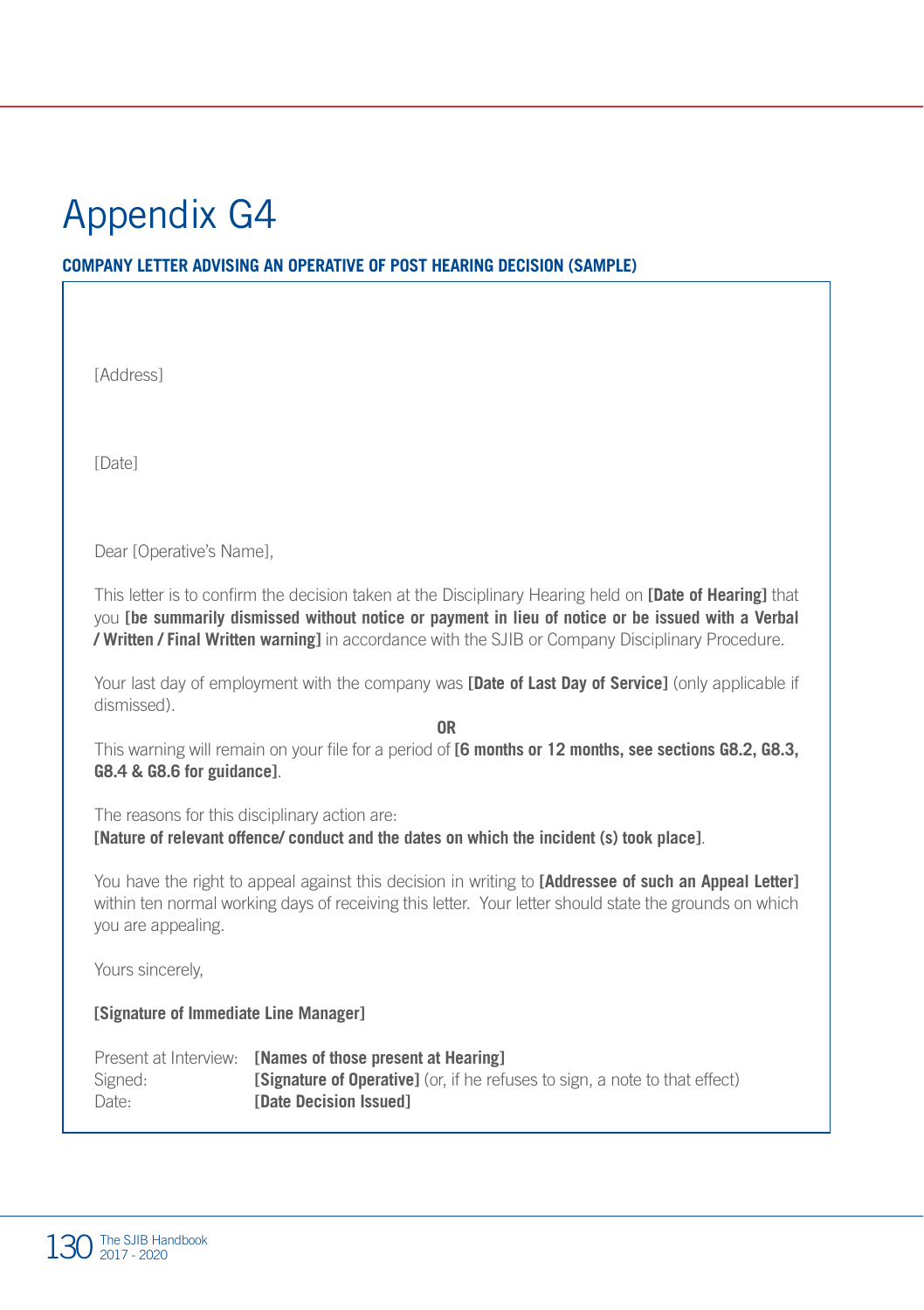#### **COMPANY LETTER ADVISING AN OPERATIVE OF POST HEARING DECISION (SAMPLE)**

[Address]

[Date]

Dear [Operative's Name],

This letter is to confirm the decision taken at the Disciplinary Hearing held on **[Date of Hearing]** that you **[be summarily dismissed without notice or payment in lieu of notice or be issued with a Verbal / Written / Final Written warning]** in accordance with the SJIB or Company Disciplinary Procedure.

Your last day of employment with the company was **[Date of Last Day of Service]** (only applicable if dismissed).

**OR**

This warning will remain on your file for a period of **[6 months or 12 months, see sections G8.2, G8.3, G8.4 & G8.6 for guidance]**.

The reasons for this disciplinary action are: **[Nature of relevant offence/ conduct and the dates on which the incident (s) took place]**.

You have the right to appeal against this decision in writing to **[Addressee of such an Appeal Letter]** within ten normal working days of receiving this letter. Your letter should state the grounds on which you are appealing.

Yours sincerely,

|         | Present at Interview: <b>[Names of those present at Hearing]</b>                   |
|---------|------------------------------------------------------------------------------------|
| Signed: | <b>[Signature of Operative]</b> (or, if he refuses to sign, a note to that effect) |
| Date:   | <b>Solution</b> Issued                                                             |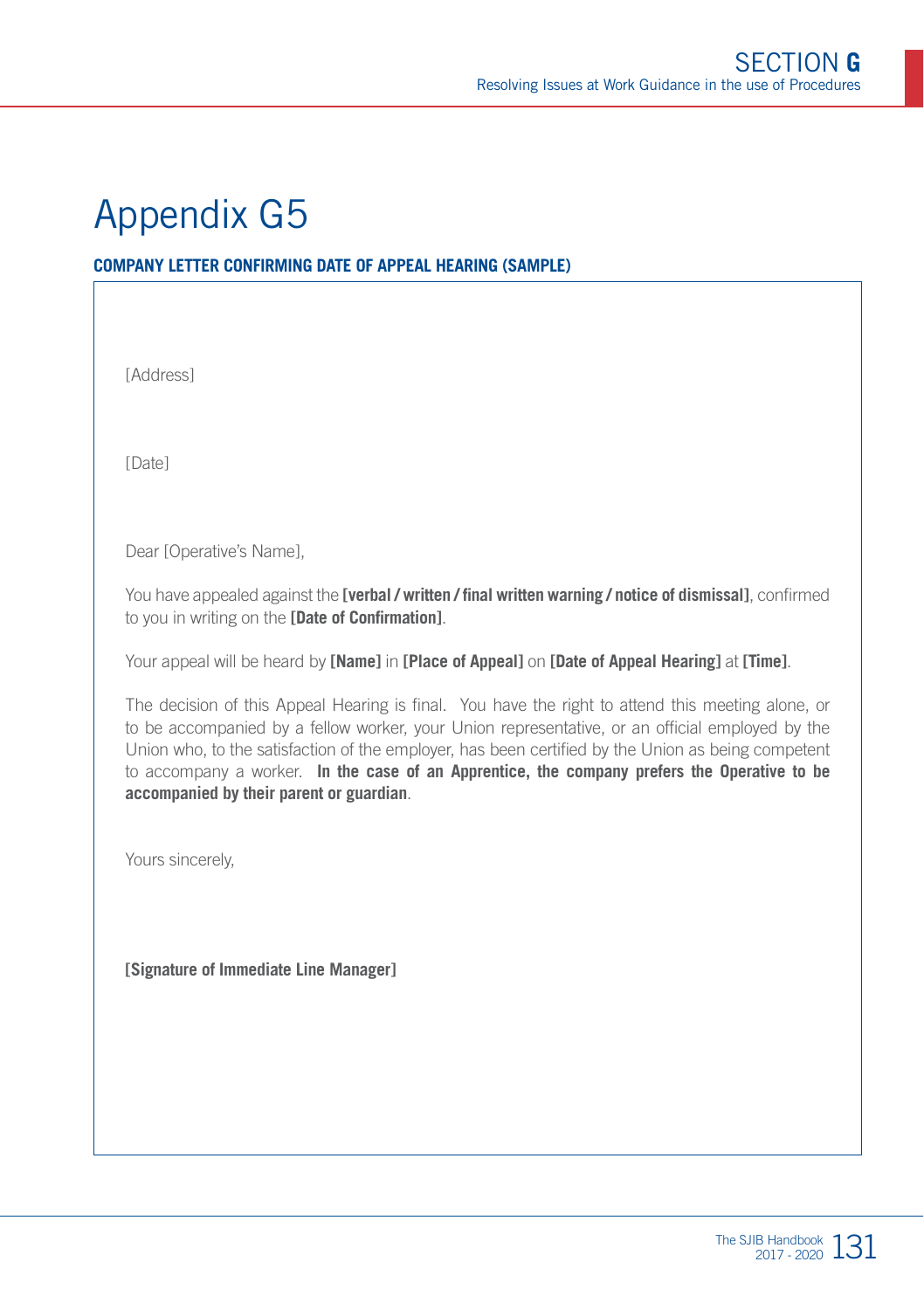#### **COMPANY LETTER CONFIRMING DATE OF APPEAL HEARING (SAMPLE)**

[Address]

[Date]

Dear [Operative's Name],

You have appealed against the **[verbal / written / final written warning / notice of dismissal]**, confirmed to you in writing on the **[Date of Confirmation]**.

Your appeal will be heard by **[Name]** in **[Place of Appeal]** on **[Date of Appeal Hearing]** at **[Time]**.

The decision of this Appeal Hearing is final. You have the right to attend this meeting alone, or to be accompanied by a fellow worker, your Union representative, or an official employed by the Union who, to the satisfaction of the employer, has been certified by the Union as being competent to accompany a worker. **In the case of an Apprentice, the company prefers the Operative to be accompanied by their parent or guardian**.

Yours sincerely,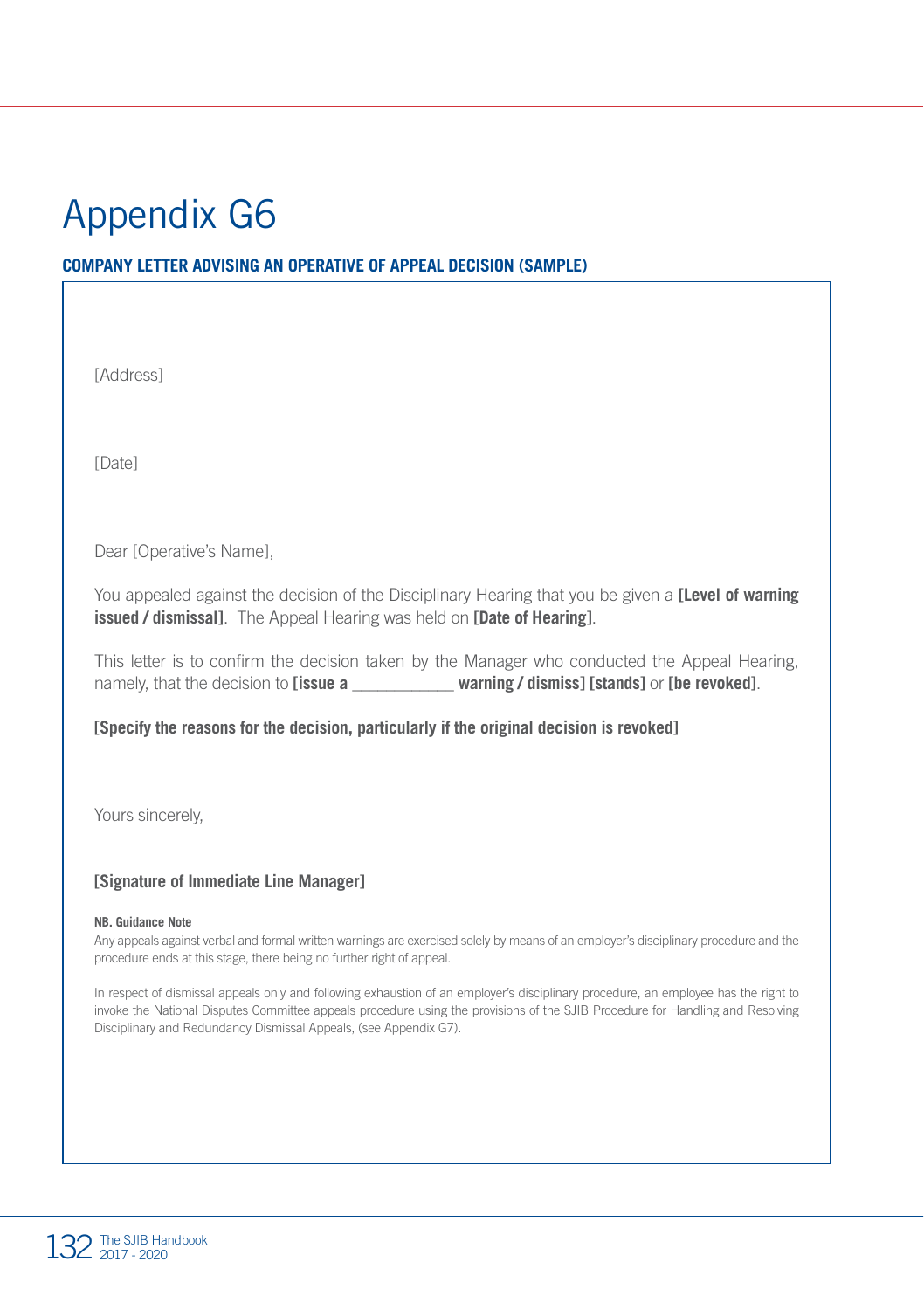#### **COMPANY LETTER ADVISING AN OPERATIVE OF APPEAL DECISION (SAMPLE)**

[Address]

[Date]

Dear [Operative's Name],

You appealed against the decision of the Disciplinary Hearing that you be given a **[Level of warning issued / dismissal]**. The Appeal Hearing was held on **[Date of Hearing]**.

This letter is to confirm the decision taken by the Manager who conducted the Appeal Hearing, namely, that the decision to **[issue a \_\_\_\_\_\_\_\_\_\_\_\_ warning / dismiss] [stands]** or **[be revoked]**.

**[Specify the reasons for the decision, particularly if the original decision is revoked]**

Yours sincerely,

#### **[Signature of Immediate Line Manager]**

#### **NB. Guidance Note**

Any appeals against verbal and formal written warnings are exercised solely by means of an employer's disciplinary procedure and the procedure ends at this stage, there being no further right of appeal.

In respect of dismissal appeals only and following exhaustion of an employer's disciplinary procedure, an employee has the right to invoke the National Disputes Committee appeals procedure using the provisions of the SJIB Procedure for Handling and Resolving Disciplinary and Redundancy Dismissal Appeals, (see Appendix G7).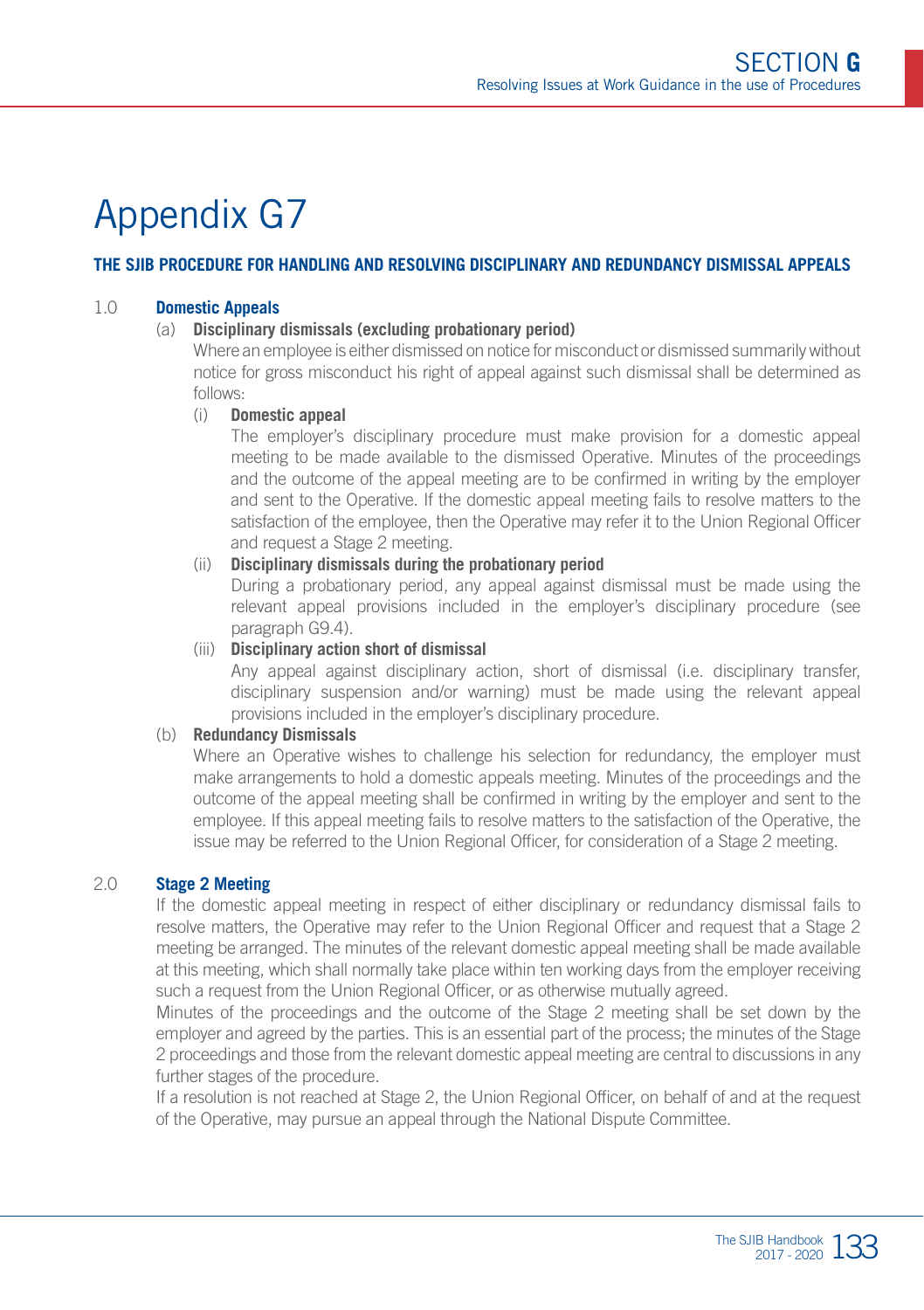#### **THE SJIB PROCEDURE FOR HANDLING AND RESOLVING DISCIPLINARY AND REDUNDANCY DISMISSAL APPEALS**

#### 1.0 **Domestic Appeals**

#### (a) **Disciplinary dismissals (excluding probationary period)**

Where an employee is either dismissed on notice for misconduct or dismissed summarily without notice for gross misconduct his right of appeal against such dismissal shall be determined as follows:

#### (i) **Domestic appeal**

The employer's disciplinary procedure must make provision for a domestic appeal meeting to be made available to the dismissed Operative. Minutes of the proceedings and the outcome of the appeal meeting are to be confirmed in writing by the employer and sent to the Operative. If the domestic appeal meeting fails to resolve matters to the satisfaction of the employee, then the Operative may refer it to the Union Regional Officer and request a Stage 2 meeting.

#### (ii) **Disciplinary dismissals during the probationary period**

During a probationary period, any appeal against dismissal must be made using the relevant appeal provisions included in the employer's disciplinary procedure (see paragraph G9.4).

(iii) **Disciplinary action short of dismissal** 

Any appeal against disciplinary action, short of dismissal (i.e. disciplinary transfer, disciplinary suspension and/or warning) must be made using the relevant appeal provisions included in the employer's disciplinary procedure.

#### (b) **Redundancy Dismissals**

Where an Operative wishes to challenge his selection for redundancy, the employer must make arrangements to hold a domestic appeals meeting. Minutes of the proceedings and the outcome of the appeal meeting shall be confirmed in writing by the employer and sent to the employee. If this appeal meeting fails to resolve matters to the satisfaction of the Operative, the issue may be referred to the Union Regional Officer, for consideration of a Stage 2 meeting.

#### 2.0 **Stage 2 Meeting**

If the domestic appeal meeting in respect of either disciplinary or redundancy dismissal fails to resolve matters, the Operative may refer to the Union Regional Officer and request that a Stage 2 meeting be arranged. The minutes of the relevant domestic appeal meeting shall be made available at this meeting, which shall normally take place within ten working days from the employer receiving such a request from the Union Regional Officer, or as otherwise mutually agreed.

Minutes of the proceedings and the outcome of the Stage 2 meeting shall be set down by the employer and agreed by the parties. This is an essential part of the process; the minutes of the Stage 2 proceedings and those from the relevant domestic appeal meeting are central to discussions in any further stages of the procedure.

If a resolution is not reached at Stage 2, the Union Regional Officer, on behalf of and at the request of the Operative, may pursue an appeal through the National Dispute Committee.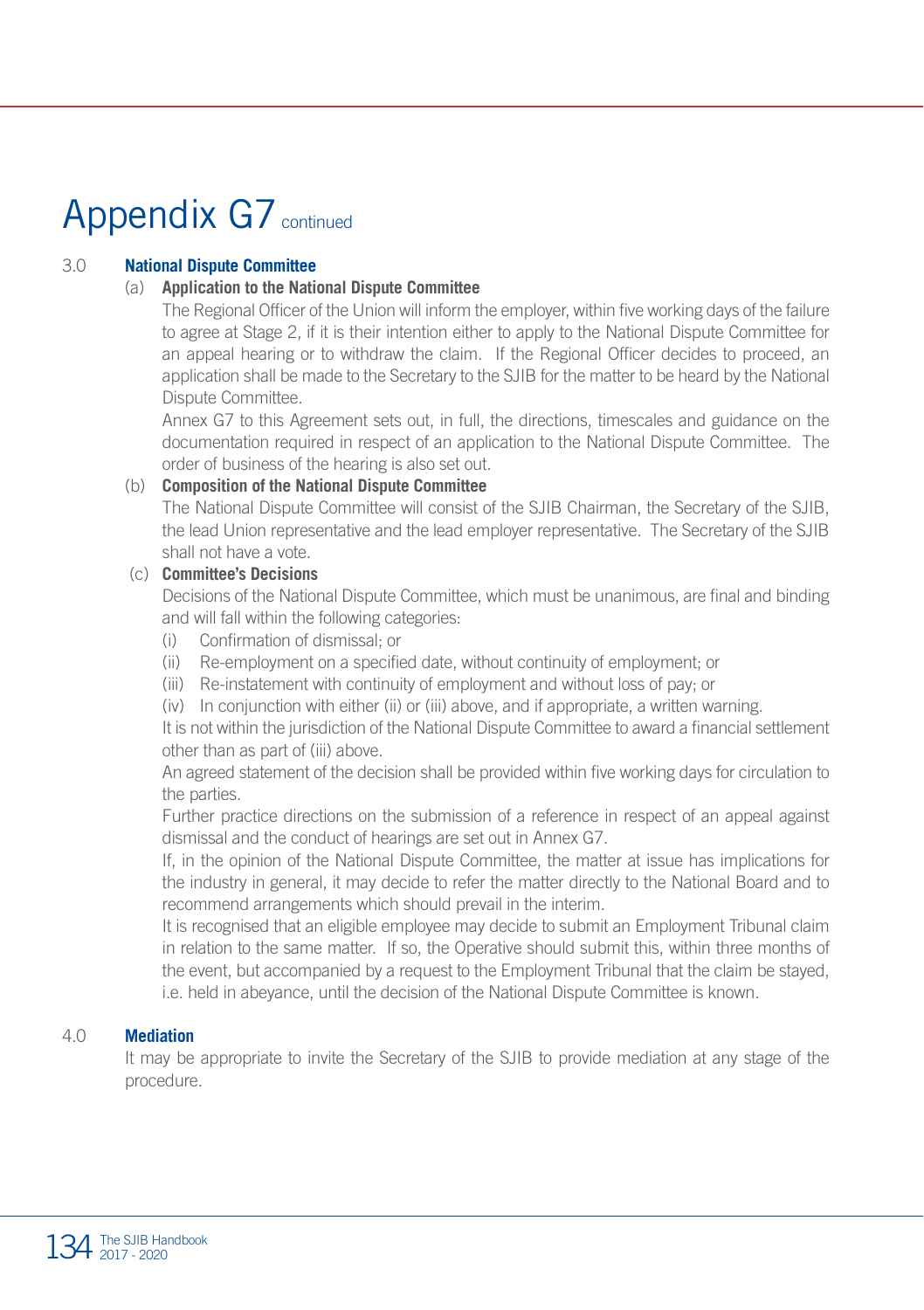# Appendix G7 continued

#### 3.0 **National Dispute Committee**

#### (a) **Application to the National Dispute Committee**

The Regional Officer of the Union will inform the employer, within five working days of the failure to agree at Stage 2, if it is their intention either to apply to the National Dispute Committee for an appeal hearing or to withdraw the claim. If the Regional Officer decides to proceed, an application shall be made to the Secretary to the SJIB for the matter to be heard by the National Dispute Committee.

Annex G7 to this Agreement sets out, in full, the directions, timescales and guidance on the documentation required in respect of an application to the National Dispute Committee. The order of business of the hearing is also set out.

#### (b) **Composition of the National Dispute Committee**

The National Dispute Committee will consist of the SJIB Chairman, the Secretary of the SJIB, the lead Union representative and the lead employer representative. The Secretary of the SJIB shall not have a vote.

#### (c) **Committee's Decisions**

Decisions of the National Dispute Committee, which must be unanimous, are final and binding and will fall within the following categories:

- (i) Confirmation of dismissal; or
- (ii) Re-employment on a specified date, without continuity of employment; or
- (iii) Re-instatement with continuity of employment and without loss of pay; or
- (iv) In conjunction with either (ii) or (iii) above, and if appropriate, a written warning.

It is not within the jurisdiction of the National Dispute Committee to award a financial settlement other than as part of (iii) above.

An agreed statement of the decision shall be provided within five working days for circulation to the parties.

Further practice directions on the submission of a reference in respect of an appeal against dismissal and the conduct of hearings are set out in Annex G7.

If, in the opinion of the National Dispute Committee, the matter at issue has implications for the industry in general, it may decide to refer the matter directly to the National Board and to recommend arrangements which should prevail in the interim.

It is recognised that an eligible employee may decide to submit an Employment Tribunal claim in relation to the same matter. If so, the Operative should submit this, within three months of the event, but accompanied by a request to the Employment Tribunal that the claim be stayed, i.e. held in abeyance, until the decision of the National Dispute Committee is known.

#### 4.0 **Mediation**

It may be appropriate to invite the Secretary of the SJIB to provide mediation at any stage of the procedure.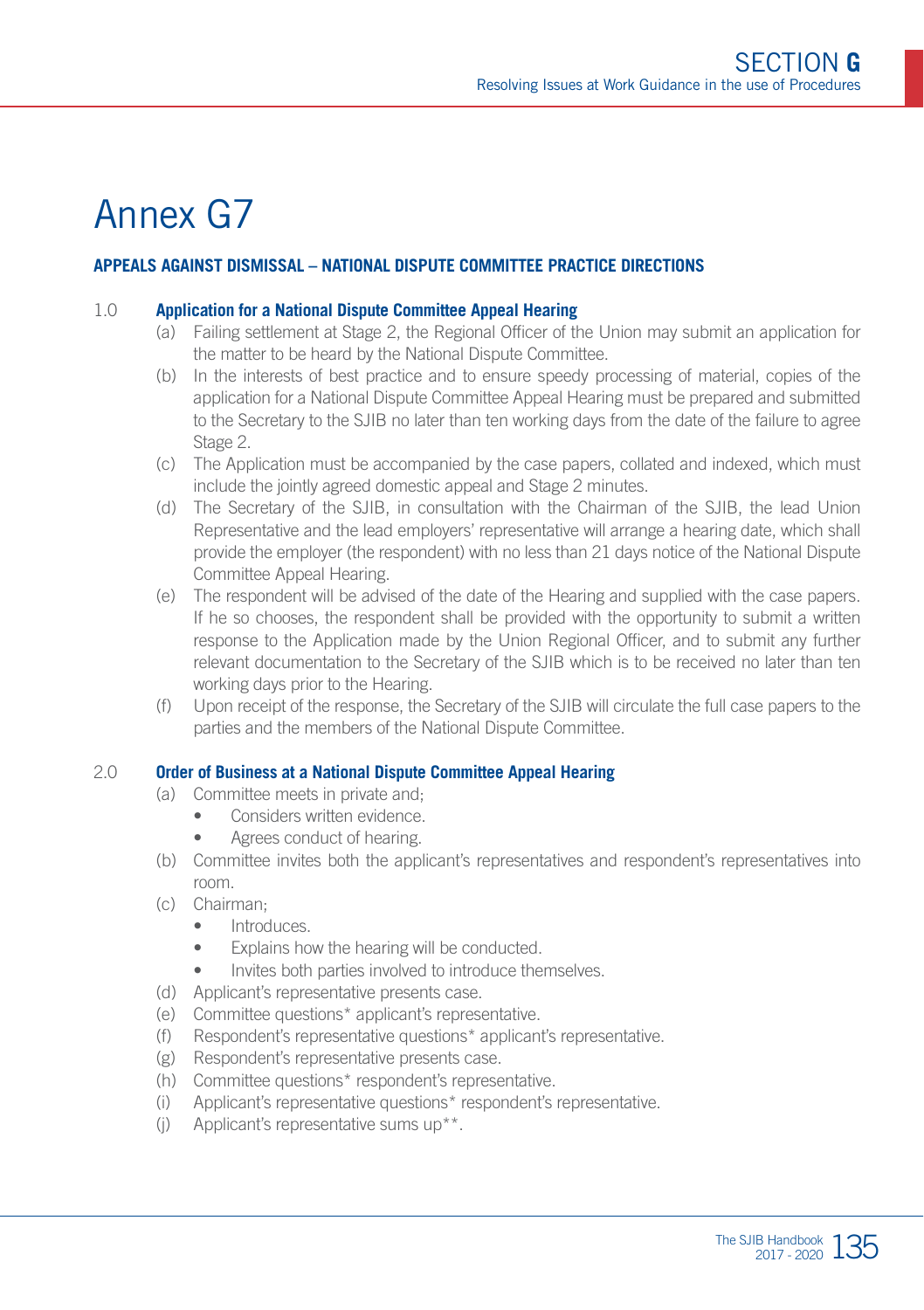### Annex G7

#### **APPEALS AGAINST DISMISSAL – NATIONAL DISPUTE COMMITTEE PRACTICE DIRECTIONS**

#### 1.0 **Application for a National Dispute Committee Appeal Hearing**

- (a) Failing settlement at Stage 2, the Regional Officer of the Union may submit an application for the matter to be heard by the National Dispute Committee.
- (b) In the interests of best practice and to ensure speedy processing of material, copies of the application for a National Dispute Committee Appeal Hearing must be prepared and submitted to the Secretary to the SJIB no later than ten working days from the date of the failure to agree Stage 2.
- (c) The Application must be accompanied by the case papers, collated and indexed, which must include the jointly agreed domestic appeal and Stage 2 minutes.
- (d) The Secretary of the SJIB, in consultation with the Chairman of the SJIB, the lead Union Representative and the lead employers' representative will arrange a hearing date, which shall provide the employer (the respondent) with no less than 21 days notice of the National Dispute Committee Appeal Hearing.
- (e) The respondent will be advised of the date of the Hearing and supplied with the case papers. If he so chooses, the respondent shall be provided with the opportunity to submit a written response to the Application made by the Union Regional Officer, and to submit any further relevant documentation to the Secretary of the SJIB which is to be received no later than ten working days prior to the Hearing.
- (f) Upon receipt of the response, the Secretary of the SJIB will circulate the full case papers to the parties and the members of the National Dispute Committee.

#### 2.0 **Order of Business at a National Dispute Committee Appeal Hearing**

- (a) Committee meets in private and;
	- Considers written evidence.
	- Agrees conduct of hearing.
- (b) Committee invites both the applicant's representatives and respondent's representatives into room.
- (c) Chairman;
	- Introduces.
	- Explains how the hearing will be conducted.
	- Invites both parties involved to introduce themselves.
- (d) Applicant's representative presents case.
- (e) Committee questions\* applicant's representative.
- (f) Respondent's representative questions\* applicant's representative.
- (g) Respondent's representative presents case.
- (h) Committee questions\* respondent's representative.
- (i) Applicant's representative questions\* respondent's representative.
- (j) Applicant's representative sums up\*\*.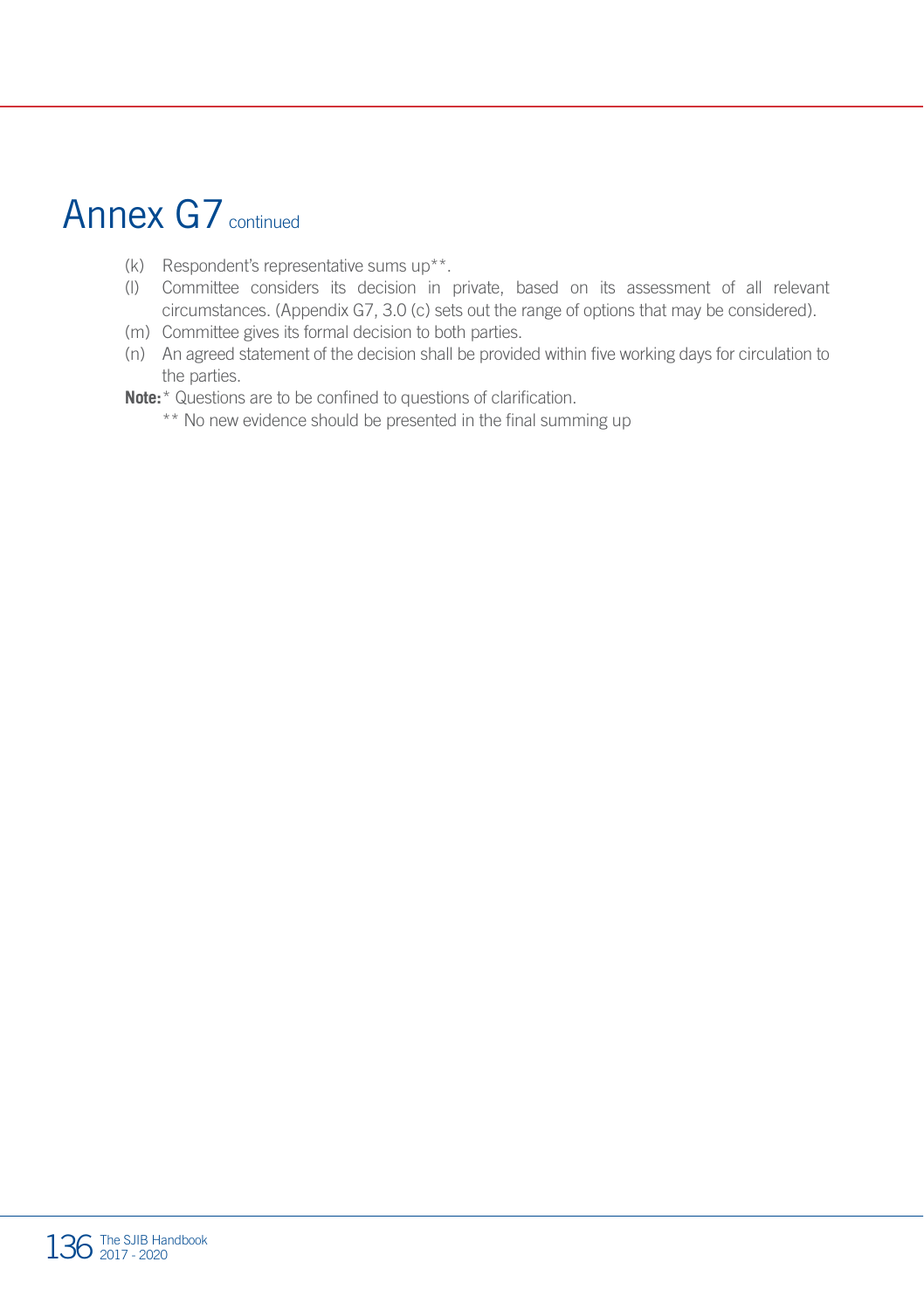### Annex G7 continued

- (k) Respondent's representative sums up\*\*.
- (l) Committee considers its decision in private, based on its assessment of all relevant circumstances. (Appendix G7, 3.0 (c) sets out the range of options that may be considered).
- (m) Committee gives its formal decision to both parties.
- (n) An agreed statement of the decision shall be provided within five working days for circulation to the parties.
- **Note:**\* Questions are to be confined to questions of clarification.
	- \*\* No new evidence should be presented in the final summing up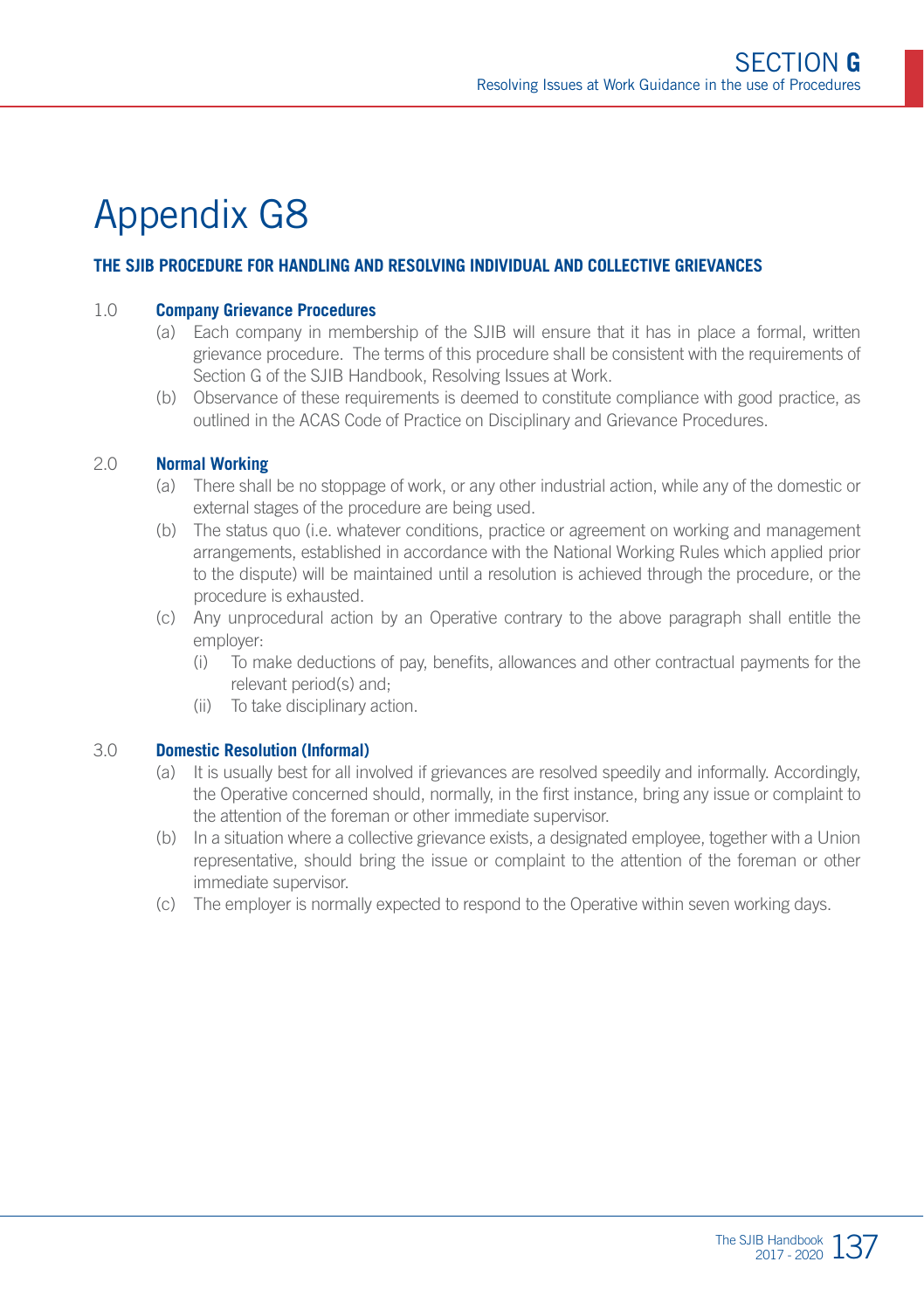#### **THE SJIB PROCEDURE FOR HANDLING AND RESOLVING INDIVIDUAL AND COLLECTIVE GRIEVANCES**

#### 1.0 **Company Grievance Procedures**

- (a) Each company in membership of the SJIB will ensure that it has in place a formal, written grievance procedure. The terms of this procedure shall be consistent with the requirements of Section G of the SJIB Handbook, Resolving Issues at Work.
- (b) Observance of these requirements is deemed to constitute compliance with good practice, as outlined in the ACAS Code of Practice on Disciplinary and Grievance Procedures.

#### 2.0 **Normal Working**

- (a) There shall be no stoppage of work, or any other industrial action, while any of the domestic or external stages of the procedure are being used.
- (b) The status quo (i.e. whatever conditions, practice or agreement on working and management arrangements, established in accordance with the National Working Rules which applied prior to the dispute) will be maintained until a resolution is achieved through the procedure, or the procedure is exhausted.
- (c) Any unprocedural action by an Operative contrary to the above paragraph shall entitle the employer:
	- (i) To make deductions of pay, benefits, allowances and other contractual payments for the relevant period(s) and;
	- (ii) To take disciplinary action.

#### 3.0 **Domestic Resolution (Informal)**

- (a) It is usually best for all involved if grievances are resolved speedily and informally. Accordingly, the Operative concerned should, normally, in the first instance, bring any issue or complaint to the attention of the foreman or other immediate supervisor.
- (b) In a situation where a collective grievance exists, a designated employee, together with a Union representative, should bring the issue or complaint to the attention of the foreman or other immediate supervisor.
- (c) The employer is normally expected to respond to the Operative within seven working days.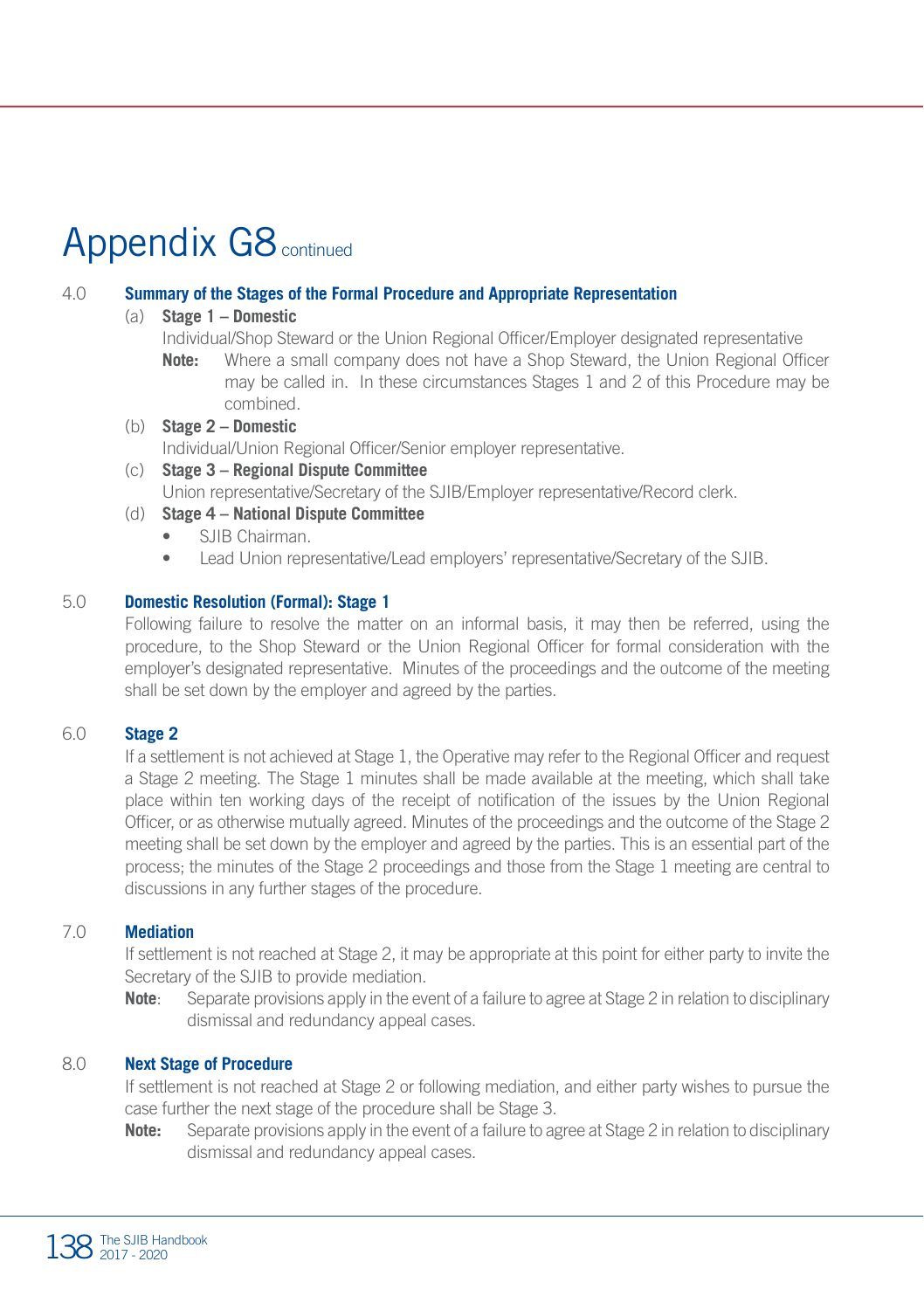### Appendix G8 continued

#### 4.0 **Summary of the Stages of the Formal Procedure and Appropriate Representation**

#### (a) **Stage 1 – Domestic**

- Individual/Shop Steward or the Union Regional Officer/Employer designated representative
- **Note:** Where a small company does not have a Shop Steward, the Union Regional Officer may be called in. In these circumstances Stages 1 and 2 of this Procedure may be combined.
- (b) **Stage 2 Domestic** Individual/Union Regional Officer/Senior employer representative. (c) **Stage 3 – Regional Dispute Committee**
	- Union representative/Secretary of the SJIB/Employer representative/Record clerk.
- (d) **Stage 4 National Dispute Committee**
	- SJIB Chairman.
	- Lead Union representative/Lead employers' representative/Secretary of the SJIB.

#### 5.0 **Domestic Resolution (Formal): Stage 1**

Following failure to resolve the matter on an informal basis, it may then be referred, using the procedure, to the Shop Steward or the Union Regional Officer for formal consideration with the employer's designated representative. Minutes of the proceedings and the outcome of the meeting shall be set down by the employer and agreed by the parties.

#### 6.0 **Stage 2**

If a settlement is not achieved at Stage 1, the Operative may refer to the Regional Officer and request a Stage 2 meeting. The Stage 1 minutes shall be made available at the meeting, which shall take place within ten working days of the receipt of notification of the issues by the Union Regional Officer, or as otherwise mutually agreed. Minutes of the proceedings and the outcome of the Stage 2 meeting shall be set down by the employer and agreed by the parties. This is an essential part of the process; the minutes of the Stage 2 proceedings and those from the Stage 1 meeting are central to discussions in any further stages of the procedure.

#### 7.0 **Mediation**

If settlement is not reached at Stage 2, it may be appropriate at this point for either party to invite the Secretary of the SJIB to provide mediation.

**Note**: Separate provisions apply in the event of a failure to agree at Stage 2 in relation to disciplinary dismissal and redundancy appeal cases.

#### 8.0 **Next Stage of Procedure**

If settlement is not reached at Stage 2 or following mediation, and either party wishes to pursue the case further the next stage of the procedure shall be Stage 3.

**Note:** Separate provisions apply in the event of a failure to agree at Stage 2 in relation to disciplinary dismissal and redundancy appeal cases.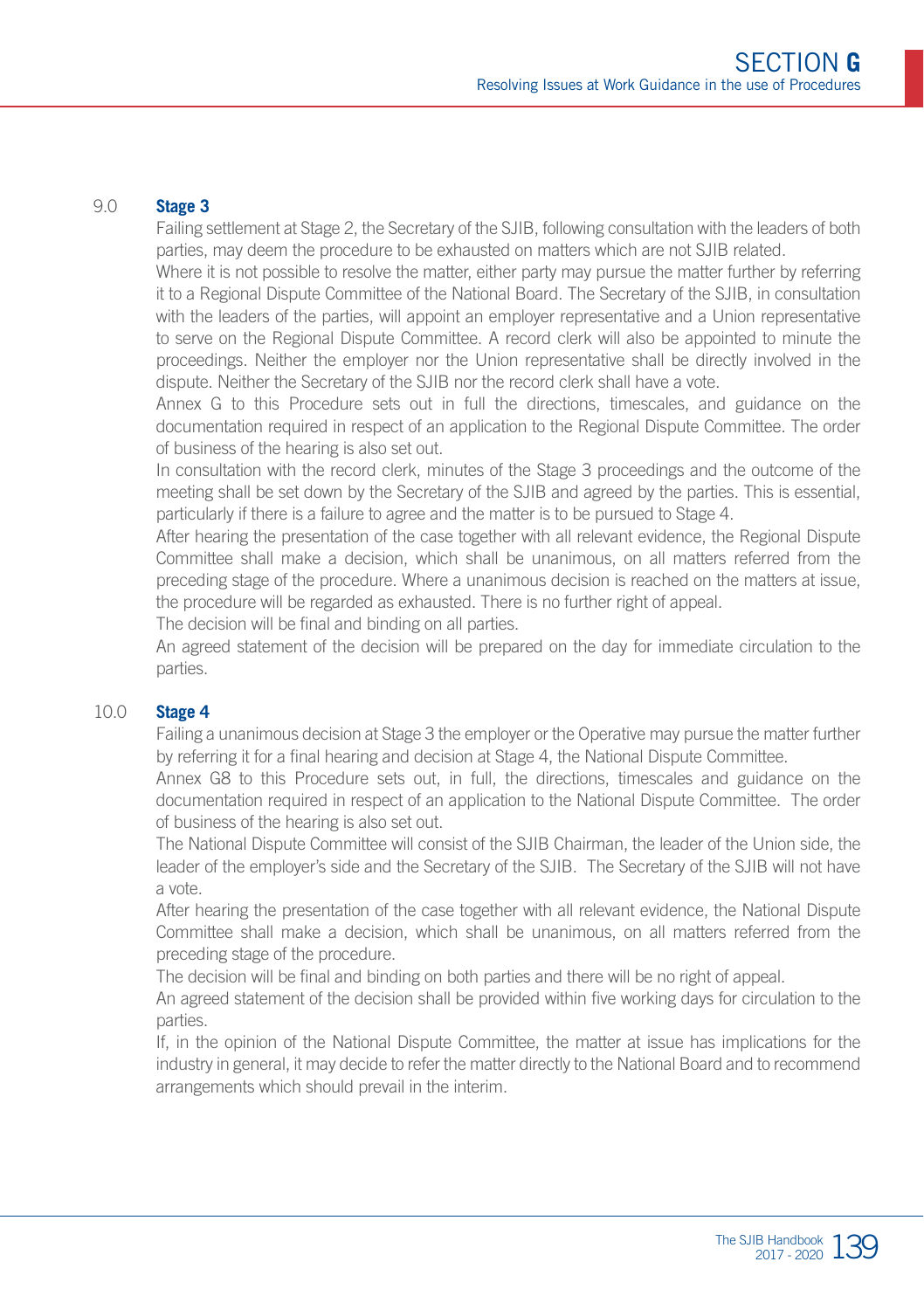#### 9.0 **Stage 3**

Failing settlement at Stage 2, the Secretary of the SJIB, following consultation with the leaders of both parties, may deem the procedure to be exhausted on matters which are not SJIB related.

Where it is not possible to resolve the matter, either party may pursue the matter further by referring it to a Regional Dispute Committee of the National Board. The Secretary of the SJIB, in consultation with the leaders of the parties, will appoint an employer representative and a Union representative to serve on the Regional Dispute Committee. A record clerk will also be appointed to minute the proceedings. Neither the employer nor the Union representative shall be directly involved in the dispute. Neither the Secretary of the SJIB nor the record clerk shall have a vote.

Annex G to this Procedure sets out in full the directions, timescales, and guidance on the documentation required in respect of an application to the Regional Dispute Committee. The order of business of the hearing is also set out.

In consultation with the record clerk, minutes of the Stage 3 proceedings and the outcome of the meeting shall be set down by the Secretary of the SJIB and agreed by the parties. This is essential, particularly if there is a failure to agree and the matter is to be pursued to Stage 4.

After hearing the presentation of the case together with all relevant evidence, the Regional Dispute Committee shall make a decision, which shall be unanimous, on all matters referred from the preceding stage of the procedure. Where a unanimous decision is reached on the matters at issue, the procedure will be regarded as exhausted. There is no further right of appeal.

The decision will be final and binding on all parties.

An agreed statement of the decision will be prepared on the day for immediate circulation to the parties.

#### 10.0 **Stage 4**

Failing a unanimous decision at Stage 3 the employer or the Operative may pursue the matter further by referring it for a final hearing and decision at Stage 4, the National Dispute Committee.

Annex G8 to this Procedure sets out, in full, the directions, timescales and guidance on the documentation required in respect of an application to the National Dispute Committee. The order of business of the hearing is also set out.

The National Dispute Committee will consist of the SJIB Chairman, the leader of the Union side, the leader of the employer's side and the Secretary of the SJIB. The Secretary of the SJIB will not have a vote.

After hearing the presentation of the case together with all relevant evidence, the National Dispute Committee shall make a decision, which shall be unanimous, on all matters referred from the preceding stage of the procedure.

The decision will be final and binding on both parties and there will be no right of appeal.

An agreed statement of the decision shall be provided within five working days for circulation to the parties.

If, in the opinion of the National Dispute Committee, the matter at issue has implications for the industry in general, it may decide to refer the matter directly to the National Board and to recommend arrangements which should prevail in the interim.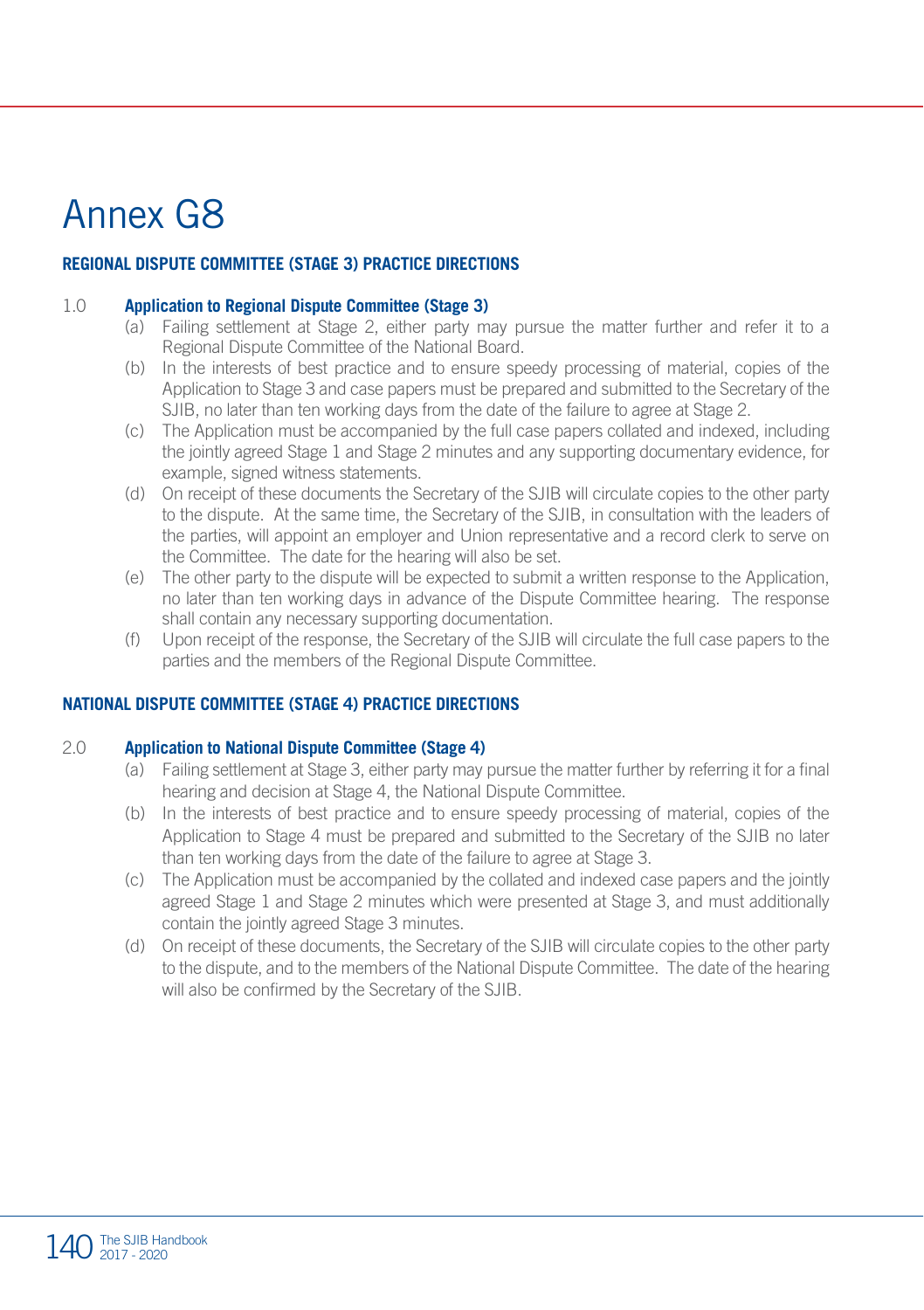### Annex G8

#### **REGIONAL DISPUTE COMMITTEE (STAGE 3) PRACTICE DIRECTIONS**

#### 1.0 **Application to Regional Dispute Committee (Stage 3)**

- (a) Failing settlement at Stage 2, either party may pursue the matter further and refer it to a Regional Dispute Committee of the National Board.
- (b) In the interests of best practice and to ensure speedy processing of material, copies of the Application to Stage 3 and case papers must be prepared and submitted to the Secretary of the SJIB, no later than ten working days from the date of the failure to agree at Stage 2.
- (c) The Application must be accompanied by the full case papers collated and indexed, including the jointly agreed Stage 1 and Stage 2 minutes and any supporting documentary evidence, for example, signed witness statements.
- (d) On receipt of these documents the Secretary of the SJIB will circulate copies to the other party to the dispute. At the same time, the Secretary of the SJIB, in consultation with the leaders of the parties, will appoint an employer and Union representative and a record clerk to serve on the Committee. The date for the hearing will also be set.
- (e) The other party to the dispute will be expected to submit a written response to the Application, no later than ten working days in advance of the Dispute Committee hearing. The response shall contain any necessary supporting documentation.
- (f) Upon receipt of the response, the Secretary of the SJIB will circulate the full case papers to the parties and the members of the Regional Dispute Committee.

#### **NATIONAL DISPUTE COMMITTEE (STAGE 4) PRACTICE DIRECTIONS**

#### 2.0 **Application to National Dispute Committee (Stage 4)**

- (a) Failing settlement at Stage 3, either party may pursue the matter further by referring it for a final hearing and decision at Stage 4, the National Dispute Committee.
- (b) In the interests of best practice and to ensure speedy processing of material, copies of the Application to Stage 4 must be prepared and submitted to the Secretary of the SJIB no later than ten working days from the date of the failure to agree at Stage 3.
- (c) The Application must be accompanied by the collated and indexed case papers and the jointly agreed Stage 1 and Stage 2 minutes which were presented at Stage 3, and must additionally contain the jointly agreed Stage 3 minutes.
- (d) On receipt of these documents, the Secretary of the SJIB will circulate copies to the other party to the dispute, and to the members of the National Dispute Committee. The date of the hearing will also be confirmed by the Secretary of the SJIB.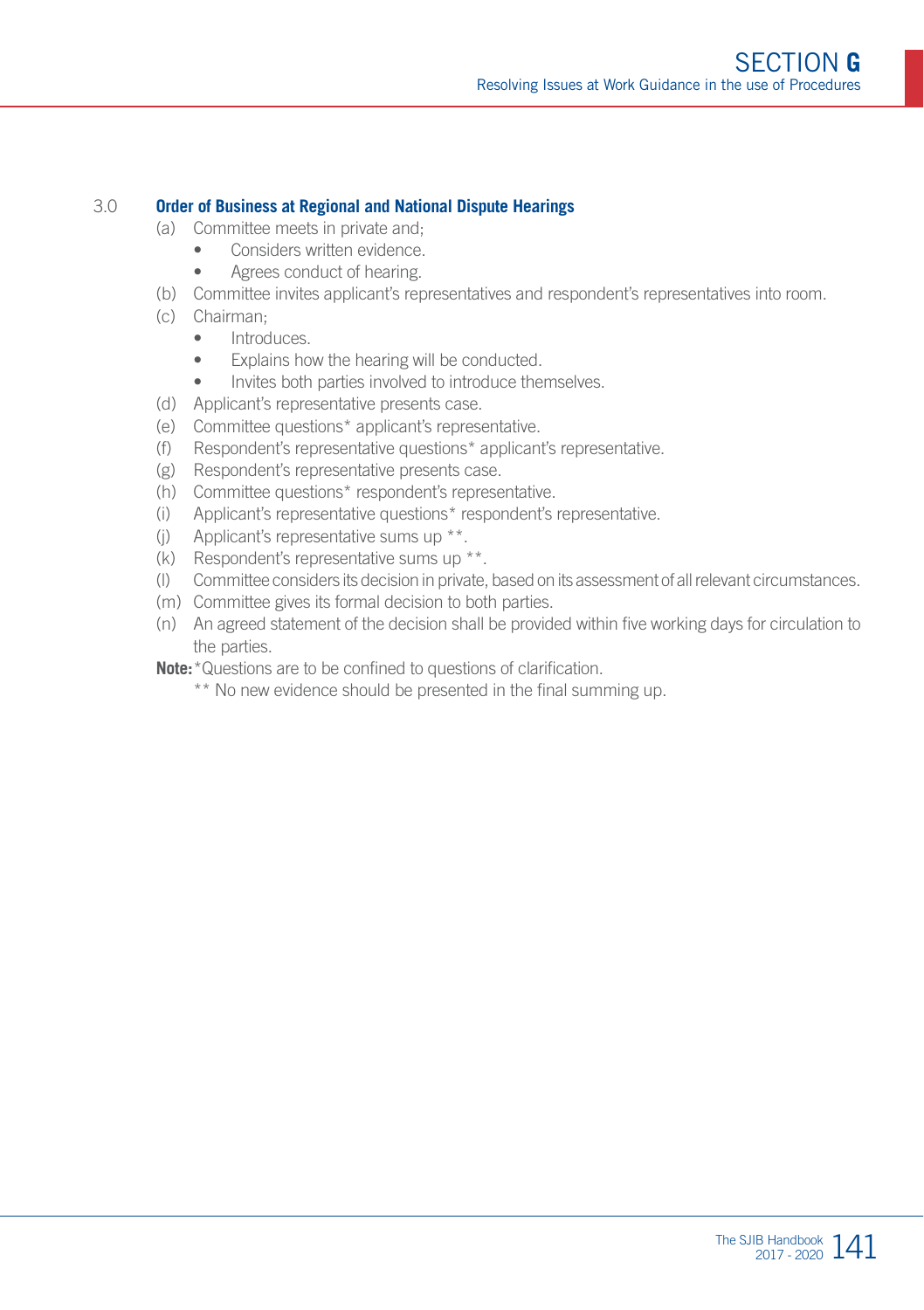#### 3.0 **Order of Business at Regional and National Dispute Hearings**

- (a) Committee meets in private and;
	- Considers written evidence.
	- Agrees conduct of hearing.
- (b) Committee invites applicant's representatives and respondent's representatives into room.
- (c) Chairman;
	- Introduces.
	- Explains how the hearing will be conducted.
	- Invites both parties involved to introduce themselves.
- (d) Applicant's representative presents case.
- (e) Committee questions\* applicant's representative.
- (f) Respondent's representative questions\* applicant's representative.
- (g) Respondent's representative presents case.
- (h) Committee questions\* respondent's representative.
- (i) Applicant's representative questions\* respondent's representative.
- (j) Applicant's representative sums up \*\*.
- (k) Respondent's representative sums up \*\*.
- (l) Committee considers its decision in private, based on its assessment of all relevant circumstances.
- (m) Committee gives its formal decision to both parties.
- (n) An agreed statement of the decision shall be provided within five working days for circulation to the parties.
- **Note:**\*Questions are to be confined to questions of clarification.
	- \*\* No new evidence should be presented in the final summing up.